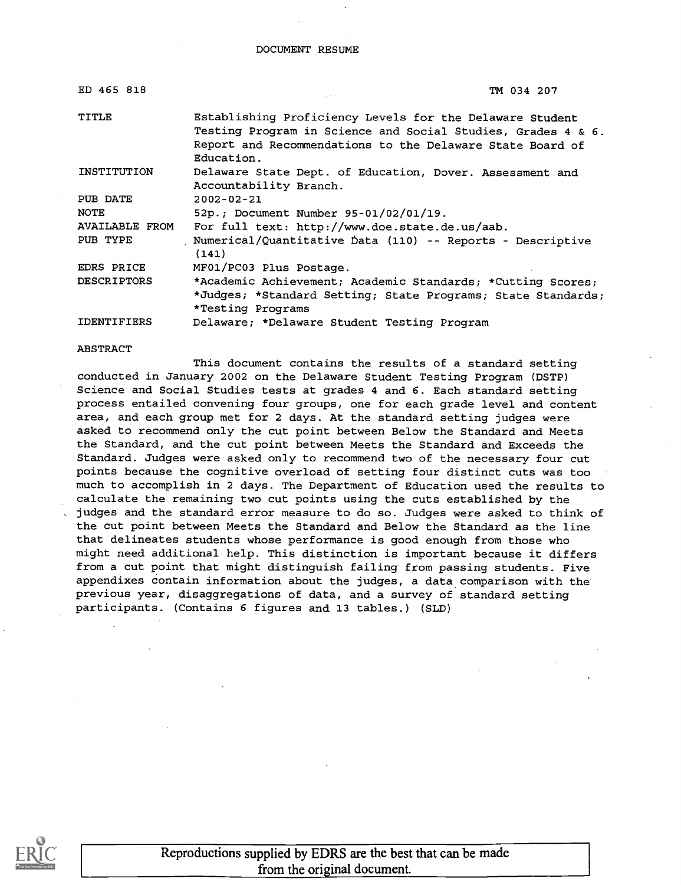### DOCUMENT RESUME

| ED 465 818            | TM 034 207                                                                                                                                                                                          |
|-----------------------|-----------------------------------------------------------------------------------------------------------------------------------------------------------------------------------------------------|
| TITLE                 | Establishing Proficiency Levels for the Delaware Student<br>Testing Program in Science and Social Studies, Grades 4 & 6.<br>Report and Recommendations to the Delaware State Board of<br>Education. |
| INSTITUTION           | Delaware State Dept. of Education, Dover. Assessment and<br>Accountability Branch.                                                                                                                  |
| PUB DATE              | $2002 - 02 - 21$                                                                                                                                                                                    |
| <b>NOTE</b>           | 52p.; Document Number 95-01/02/01/19.                                                                                                                                                               |
| <b>AVAILABLE FROM</b> | For full text: http://www.doe.state.de.us/aab.                                                                                                                                                      |
| PUB TYPE              | Numerical/Quantitative Data (110) -- Reports - Descriptive<br>(141)                                                                                                                                 |
| EDRS PRICE            | MF01/PC03 Plus Postage.                                                                                                                                                                             |
| <b>DESCRIPTORS</b>    | *Academic Achievement; Academic Standards; *Cutting Scores;                                                                                                                                         |
|                       | *Judges; *Standard Setting; State Programs; State Standards;<br>*Testing Programs                                                                                                                   |
| <b>IDENTIFIERS</b>    | Delaware; *Delaware Student Testing Program                                                                                                                                                         |

### ABSTRACT

This document contains the results of a standard setting conducted in January 2002 on the Delaware Student Testing Program (DSTP) Science and Social Studies tests at grades 4 and 6. Each standard setting process entailed convening four groups, one for each grade level and content area, and each group met for 2 days. At the standard setting judges were asked to recommend only the cut point between Below the Standard and Meets the Standard, and the cut point between Meets the Standard and Exceeds the Standard. Judges were asked only to recommend two of the necessary four cut points because the cognitive overload of setting four distinct cuts was too much to accomplish in 2 days. The Department of Education used the results to calculate the remaining two cut points using the cuts established by the judges and the standard error measure to do so. Judges were asked to think of the cut point between Meets the Standard and Below the Standard as the line that delineates students whose performance is good enough from those who might need additional help. This distinction is important because it differs from a cut point that might distinguish failing from passing students. Five appendixes contain information about the judges, a data comparison with the previous year, disaggregations of data, and a survey of standard setting participants. (Contains 6 figures and 13 tables.) (SLD)

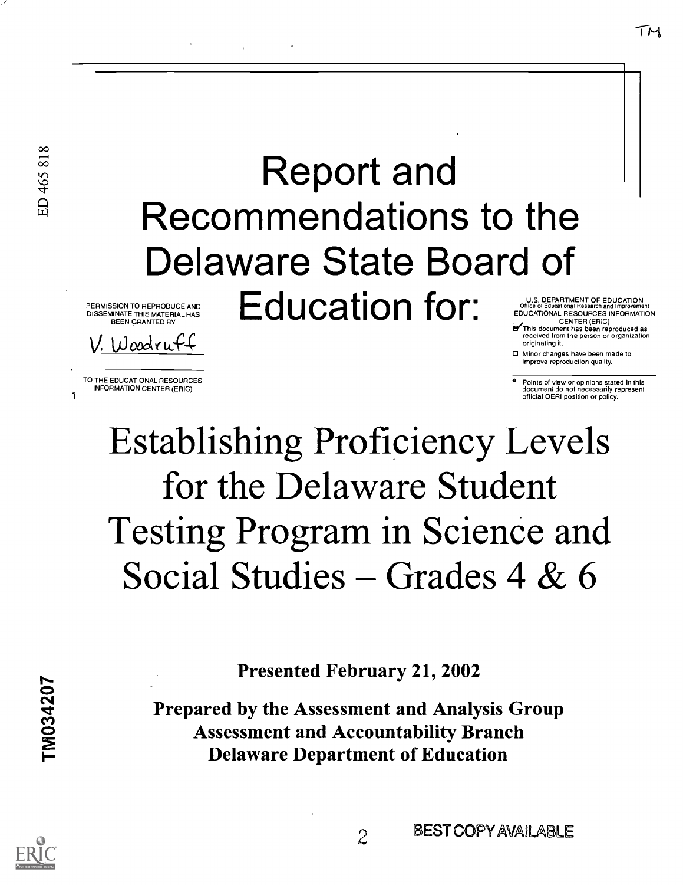# Report and Recommendations to the Delaware State Board of PERMISSION TO REPRODUCE AND **Edit Control State and** PERMISSION TO REPRODUCE AND<br>
DISSEMINATE THIS MATERIAL HAS<br>
DEEN GRANTED BY<br>
TO THE EDUCATIONAL RESOURCES INFORMATION<br>
TO THE EDUCATIONAL RESOURCES<br>
TO THE EDUCATIONAL RESOURCES<br>
TO THE EDUCATIONAL RESOURCES<br>
TO THE EDUCAT

DISSEMINATE THIS MATERIAL HAS BEEN GRANTED BY

 $W$ oodruff

TO THE EDUCATIONAL RESOURCES INFORMATION CENTER (ERIC)

U.S. DEPARTMENT OF EDUCATION<br>Office of Educational Research and Improvement EDUCATIONAL RESOURCES INFORMATION

TΜ

CENTER (ERIC) .E/This document has been reproduced as received from the person or organization originating it.

O Minor changes have been made to improve reproduction quality.

° Points of view or opinions stated in this document do not necessarily represent official OERI position or policy.

# Establishing Proficiency Levels for the Delaware Student Testing Program in Science and Social Studies – Grades 4 & 6

Presented February 21, 2002

Prepared by the Assessment and Analysis Group Assessment and Accountability Branch Delaware Department of Education

TM034207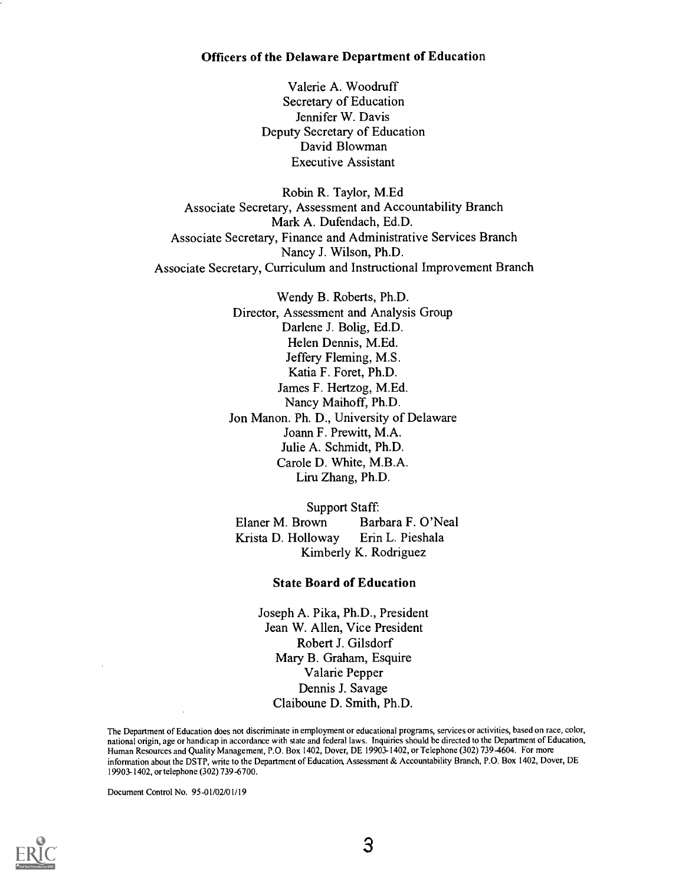### Officers of the Delaware Department of Education

Valerie A. Woodruff Secretary of Education Jennifer W. Davis Deputy Secretary of Education David Blowman Executive Assistant

Robin R. Taylor, M.Ed Associate Secretary, Assessment and Accountability Branch Mark A. Dufendach, Ed.D. Associate Secretary, Finance and Administrative Services Branch Nancy J. Wilson, Ph.D. Associate Secretary, Curriculum and Instructional Improvement Branch

> Wendy B. Roberts, Ph.D. Director, Assessment and Analysis Group Darlene J. Bolig, Ed.D. Helen Dennis, M.Ed. Jeffery Fleming, M.S. Katia F. Foret, Ph.D. James F. Hertzog, M.Ed. Nancy Maihoff, Ph.D. Jon Manon. Ph. D., University of Delaware Joann F. Prewitt, M.A. Julie A. Schmidt, Ph.D. Carole D. White, M.B.A. Liru Zhang, Ph.D.

Support Staff: Elaner M. Brown Barbara F. O'Neal Krista D. Holloway Erin L. Pieshala Kimberly K. Rodriguez

### State Board of Education

Joseph A. Pika, Ph.D., President Jean W. Allen, Vice President Robert J. Gilsdorf Mary B. Graham, Esquire Valarie Pepper Dennis J. Savage Claiboune D. Smith, Ph.D.

The Department of Education does not discriminate in employment or educational programs, services or activities, based on race, color, national origin, age or handicap in accordance with state and federal laws. Inquiries should be directed to the Department of Education, Human Resources and Quality Management, P.O. Box 1402, Dover, DE 19903-1402, or Telephone (302) 739-4604. For more information about the DSTP, write to the Department of Education, Assessment & Accountability Branch, P.O. Box 1402, Dover, DE 19903-1402, or telephone (302) 739-6700.

Document Control No. 95-01/02/01/19



3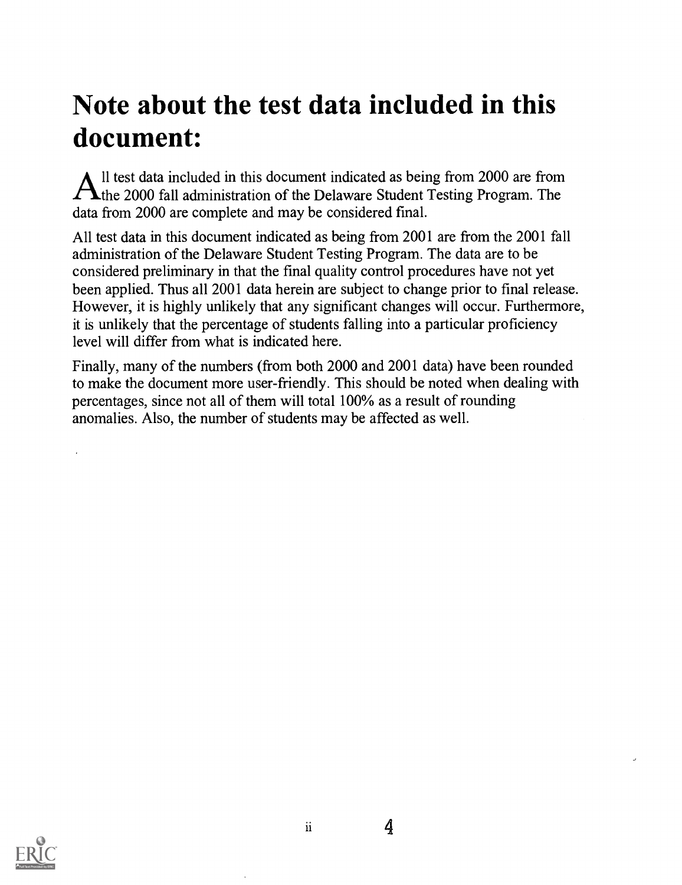# Note about the test data included in this document:

All test data included in this document indicated as being from 2000 are from<br>the 2000 fall administration of the Delaware Student Testing Program. The 11 test data included in this document indicated as being from 2000 are from data from 2000 are complete and may be considered fmal.

All test data in this document indicated as being from 2001 are from the 2001 fall administration of the Delaware Student Testing Program. The data are to be considered preliminary in that the final quality control procedures have not yet been applied. Thus all 2001 data herein are subject to change prior to final release. However, it is highly unlikely that any significant changes will occur. Furthermore, it is unlikely that the percentage of students falling into a particular proficiency level will differ from what is indicated here.

Finally, many of the numbers (from both 2000 and 2001 data) have been rounded to make the document more user-friendly. This should be noted when dealing with percentages, since not all of them will total 100% as a result of rounding anomalies. Also, the number of students may be affected as well.

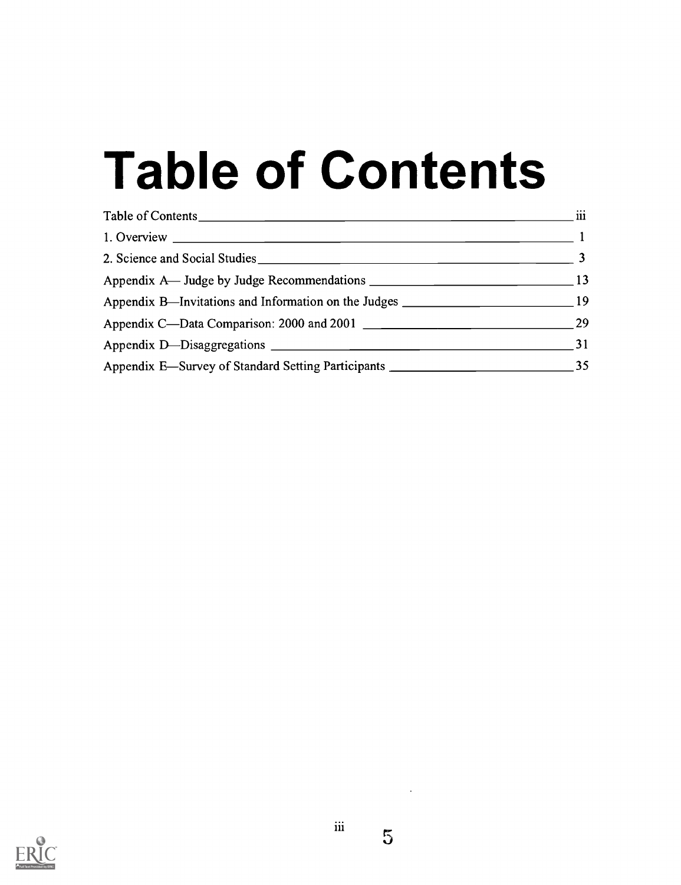# Table of Contents

| Table of Contents | $\cdots$<br>111 |
|-------------------|-----------------|
|                   |                 |
|                   |                 |
|                   |                 |
|                   |                 |
|                   |                 |
|                   |                 |
|                   |                 |

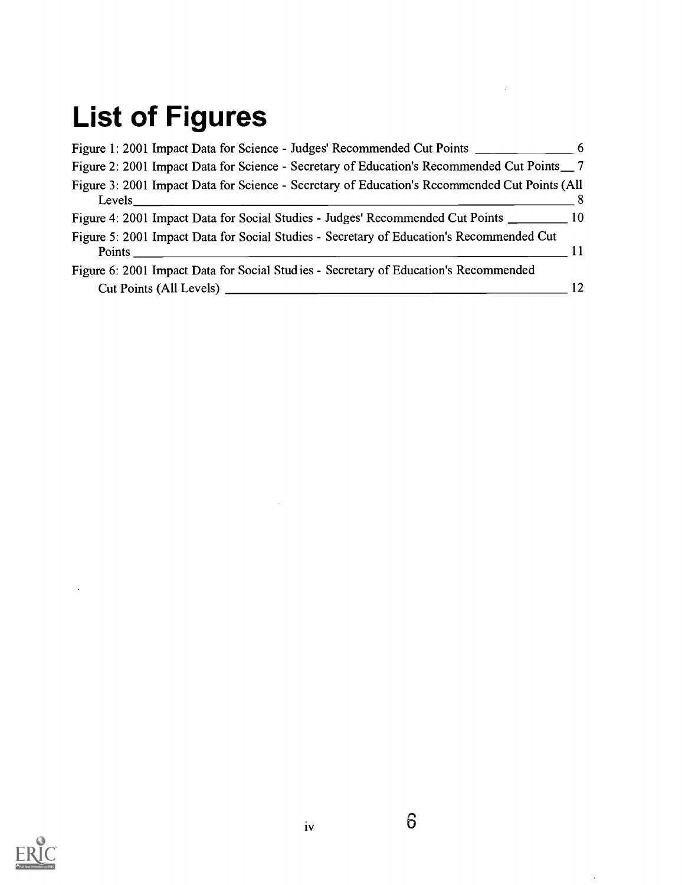# List of Figures

| Figure 1: 2001 Impact Data for Science - Judges' Recommended Cut Points ____________________________ 6 |    |
|--------------------------------------------------------------------------------------------------------|----|
| Figure 2: 2001 Impact Data for Science - Secretary of Education's Recommended Cut Points __ 7          |    |
| Figure 3: 2001 Impact Data for Science - Secretary of Education's Recommended Cut Points (All          |    |
| Figure 4: 2001 Impact Data for Social Studies - Judges' Recommended Cut Points ___________ 10          |    |
| Figure 5: 2001 Impact Data for Social Studies - Secretary of Education's Recommended Cut               |    |
| Figure 6: 2001 Impact Data for Social Studies - Secretary of Education's Recommended                   |    |
|                                                                                                        | 12 |

 $\mathcal{L}^{\text{max}}_{\text{max}}$  , where  $\mathcal{L}^{\text{max}}_{\text{max}}$ 



 $\rightarrow$ 

 $\mathbb{Z}^2$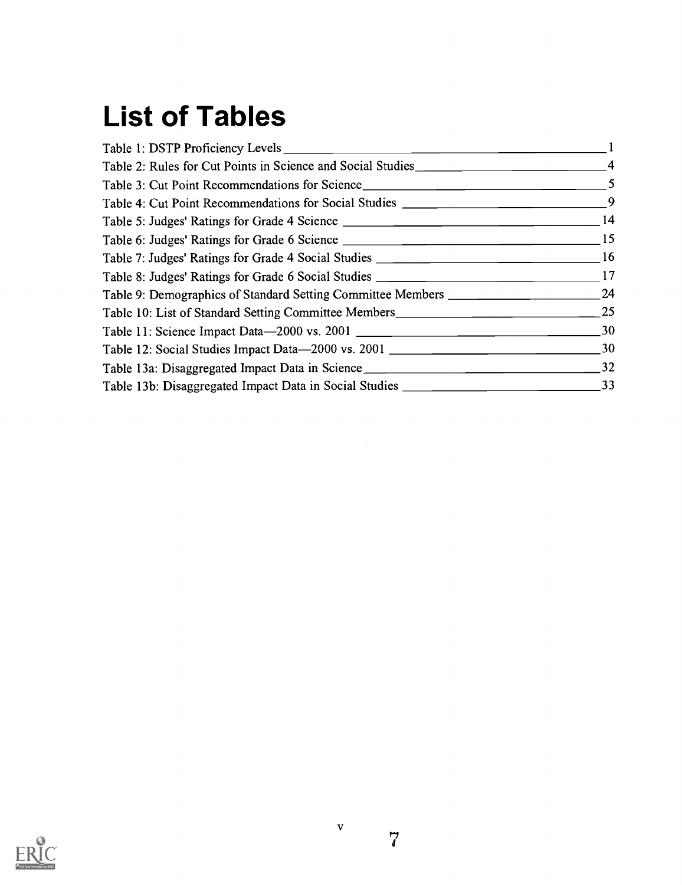# List of Tables

| Table 9: Demographics of Standard Setting Committee Members ________________________________24 |  |
|------------------------------------------------------------------------------------------------|--|
|                                                                                                |  |
|                                                                                                |  |
|                                                                                                |  |
|                                                                                                |  |
|                                                                                                |  |
|                                                                                                |  |



 $\overrightarrow{a}$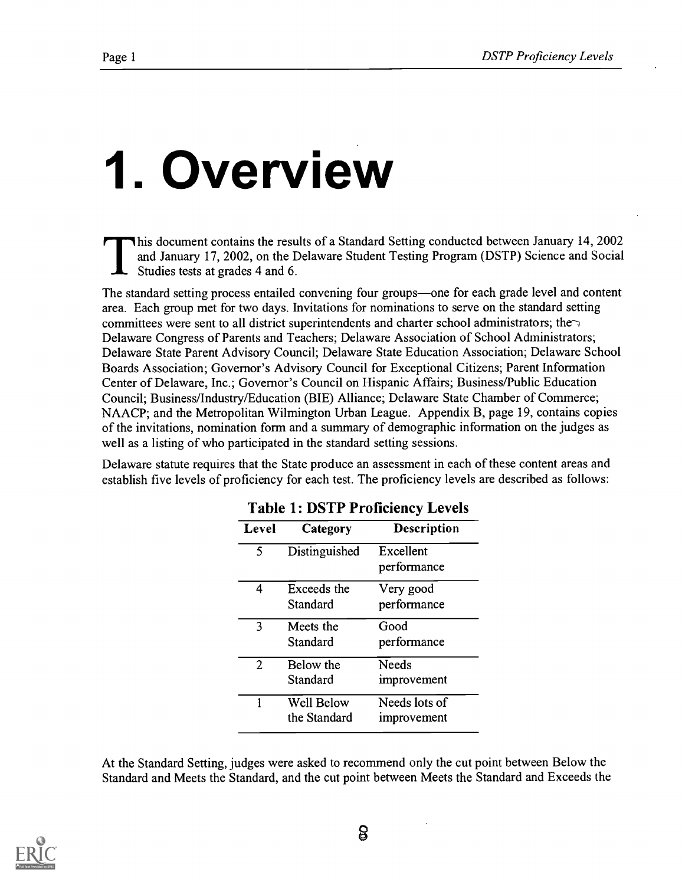# 1. Overview

This document contains the results of a Standard Setting conducted between January 14, 2002 and January 17, 2002, on the Delaware Student Testing Program (DSTP) Science and Social Studies tests at grades 4 and 6.

The standard setting process entailed convening four groups—one for each grade level and content area. Each group met for two days. Invitations for nominations to serve on the standard setting committees were sent to all district superintendents and charter school administrators; the $\gamma$ Delaware Congress of Parents and Teachers; Delaware Association of School Administrators; Delaware State Parent Advisory Council; Delaware State Education Association; Delaware School Boards Association; Governor's Advisory Council for Exceptional Citizens; Parent Information Center of Delaware, Inc.; Governor's Council on Hispanic Affairs; Business/Public Education Council; Business/Industry/Education (BIE) Alliance; Delaware State Chamber of Commerce; NAACP; and the Metropolitan Wilmington Urban League. Appendix B, page 19, contains copies of the invitations, nomination form and a summary of demographic information on the judges as well as a listing of who participated in the standard setting sessions.

Delaware statute requires that the State produce an assessment in each of these content areas and establish five levels of proficiency for each test. The proficiency levels are described as follows:

| Level                    | Category                   | <b>Description</b>           |
|--------------------------|----------------------------|------------------------------|
| $\overline{\phantom{0}}$ | Distinguished              | Excellent<br>performance     |
| 4                        | Exceeds the<br>Standard    | Very good<br>performance     |
| 3                        | Meets the<br>Standard      | Good<br>performance          |
| 2                        | Below the<br>Standard      | Needs<br>improvement         |
| 1                        | Well Below<br>the Standard | Needs lots of<br>improvement |

### Table 1: DSTP Proficiency Levels

At the Standard Setting, judges were asked to recommend only the cut point between Below the Standard and Meets the Standard, and the cut point between Meets the Standard and Exceeds the

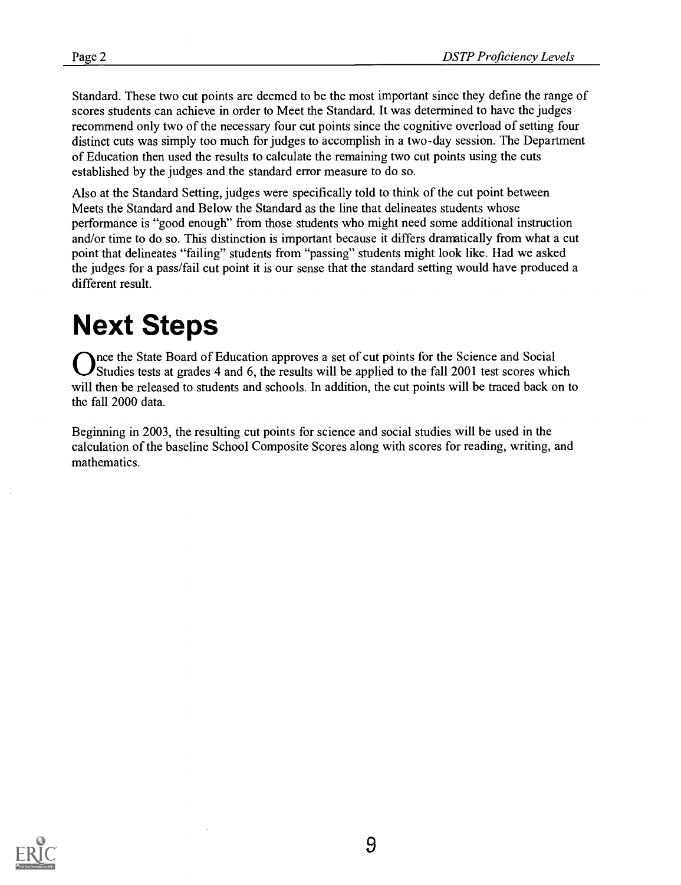Standard. These two cut points are deemed to be the most important since they define the range of scores students can achieve in order to Meet the Standard. It was determined to have the judges recommend only two of the necessary four cut points since the cognitive overload of setting four distinct cuts was simply too much for judges to accomplish in a two-day session. The Department of Education then used the results to calculate the remaining two cut points using the cuts established by the judges and the standard error measure to do so.

Also at the Standard Setting, judges were specifically told to think of the cut point between Meets the Standard and Below the Standard as the line that delineates students whose performance is "good enough" from those students who might need some additional instruction and/or time to do so. This distinction is important because it differs dramatically from what a cut point that delineates "failing" students from "passing" students might look like. Had we asked the judges for a pass/fail cut point it is our sense that the standard setting would have produced a different result.

# Next Steps

Once the State Board of Education approves a set of cut points for the Science and Social<br>Ostudies tests at grades 4 and 6, the results will be applied to the fall 2001 test scores which Studies tests at grades 4 and 6, the results will be applied to the fall 2001 test scores which will then be released to students and schools. In addition, the cut points will be traced back on to the fall 2000 data.

Beginning in 2003, the resulting cut points for science and social studies will be used in the calculation of the baseline School Composite Scores along with scores for reading, writing, and mathematics.

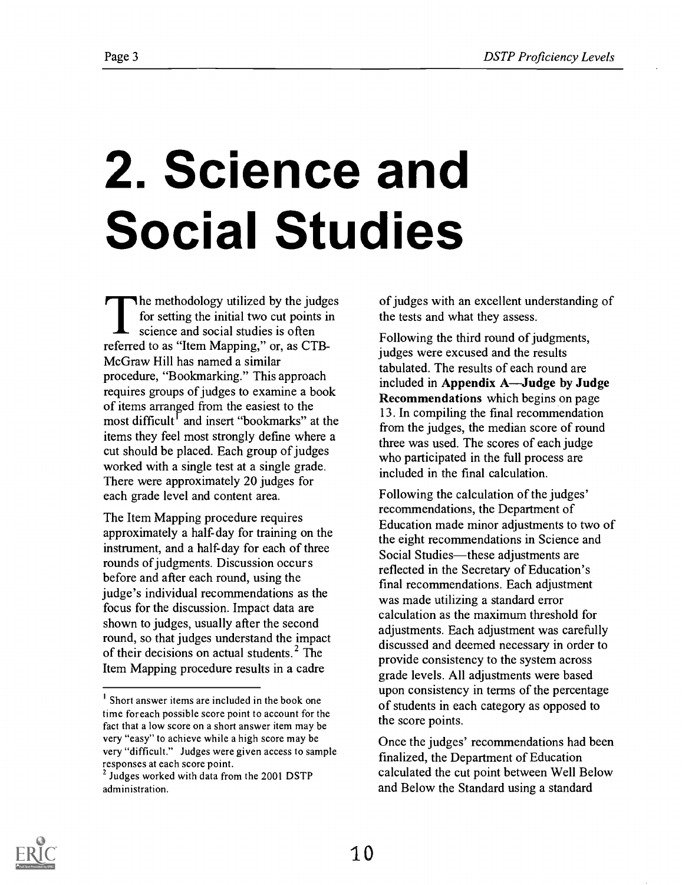# 2. Science and Social Studies

The methodology utilized by the judges for setting the initial two cut points in science and social studies is often referred to as "Item Mapping," or, as CTB-McGraw Hill has named a similar procedure, "Bookmarking." This approach requires groups of judges to examine a book of items arranged from the easiest to the most difficult<sup>1</sup> and insert "bookmarks" at the items they feel most strongly define where a cut should be placed. Each group of judges worked with a single test at a single grade. There were approximately 20 judges for each grade level and content area.

The Item Mapping procedure requires approximately a half-day for training on the instrument, and a half-day for each of three rounds of judgments. Discussion occur s before and after each round, using the judge's individual recommendations as the focus for the discussion. Impact data are shown to judges, usually after the second round, so that judges understand the impact of their decisions on actual students.<sup>2</sup> The Item Mapping procedure results in a cadre

of judges with an excellent understanding of the tests and what they assess.

Following the third round of judgments, judges were excused and the results tabulated. The results of each round are included in Appendix A—Judge by Judge Recommendations which begins on page 13. In compiling the final recommendation from the judges, the median score of round three was used. The scores of each judge who participated in the full process are included in the final calculation.

Following the calculation of the judges' recommendations, the Department of Education made minor adjustments to two of the eight recommendations in Science and Social Studies—these adjustments are reflected in the Secretary of Education's final recommendations. Each adjustment was made utilizing a standard error calculation as the maximum threshold for adjustments. Each adjustment was carefully discussed and deemed necessary in order to provide consistency to the system across grade levels. All adjustments were based upon consistency in terms of the percentage of students in each category as opposed to the score points.

Once the judges' recommendations had been finalized, the Department of Education calculated the cut point between Well Below and Below the Standard using a standard



<sup>&</sup>lt;sup>1</sup> Short answer items are included in the book one time foreach possible score point to account for the fact that a low score on a short answer item may be very "easy" to achieve while a high score may be very "difficult." Judges were given access to sample responses at each score point.

<sup>&</sup>lt;sup>2</sup> Judges worked with data from the 2001 DSTP administration.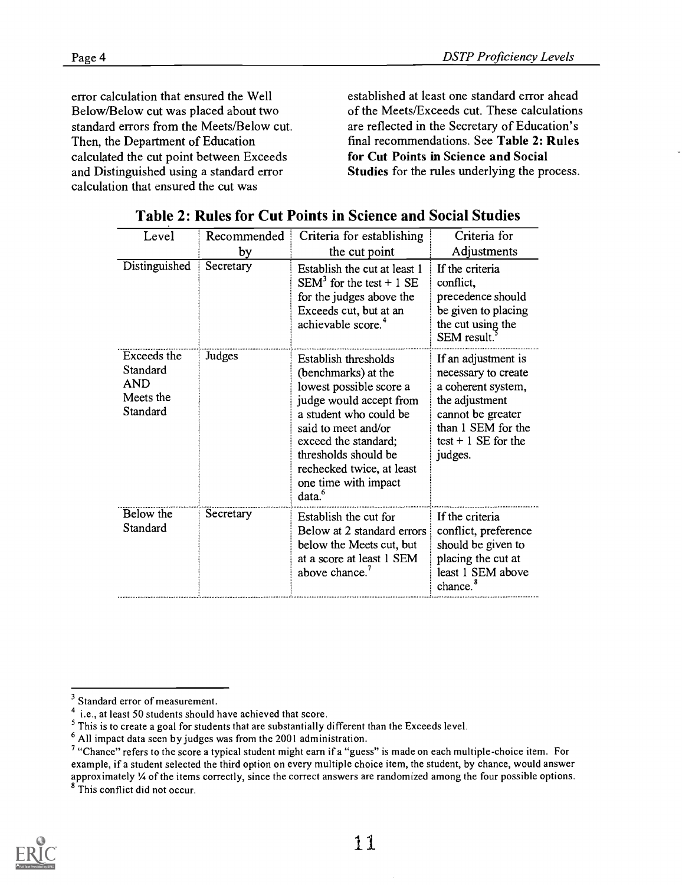error calculation that ensured the Well Below/Below cut was placed about two standard errors from the Meets/Below cut. Then, the Department of Education calculated the cut point between Exceeds and Distinguished using a standard error calculation that ensured the cut was

established at least one standard error ahead of the Meets/Exceeds cut. These calculations are reflected in the Secretary of Education's final recommendations. See Table 2: Rules for Cut Points in Science and Social Studies for the rules underlying the process.

| Level                                                          | Recommended | Criteria for establishing                                                                                                                                                                                                                                                     | Criteria for                                                                                                                                                      |
|----------------------------------------------------------------|-------------|-------------------------------------------------------------------------------------------------------------------------------------------------------------------------------------------------------------------------------------------------------------------------------|-------------------------------------------------------------------------------------------------------------------------------------------------------------------|
|                                                                | by          | the cut point                                                                                                                                                                                                                                                                 | Adjustments                                                                                                                                                       |
| Distinguished                                                  | Secretary   | Establish the cut at least 1<br>$SEM3$ for the test + 1 SE<br>for the judges above the<br>Exceeds cut, but at an<br>achievable score. <sup>4</sup>                                                                                                                            | If the criteria<br>conflict,<br>precedence should<br>be given to placing<br>the cut using the<br>SEM result.                                                      |
| Exceeds the<br>Standard<br><b>AND</b><br>Meets the<br>Standard | Judges      | Establish thresholds<br>(benchmarks) at the<br>lowest possible score a<br>judge would accept from<br>a student who could be<br>said to meet and/or<br>exceed the standard;<br>thresholds should be<br>rechecked twice, at least<br>one time with impact<br>data. <sup>6</sup> | If an adjustment is<br>necessary to create<br>a coherent system,<br>the adjustment<br>cannot be greater<br>than 1 SEM for the<br>$test + 1$ SE for the<br>judges. |
| Below the<br>Standard                                          | Secretary   | Establish the cut for<br>Below at 2 standard errors<br>below the Meets cut, but<br>at a score at least 1 SEM<br>above chance. <sup>7</sup>                                                                                                                                    | If the criteria<br>conflict, preference<br>should be given to<br>placing the cut at<br>least 1 SEM above<br>chance. <sup>8</sup>                                  |

Table 2: Rules for Cut Points in Science and Social Studies

8 This conflict did not occur.



<sup>&</sup>lt;sup>3</sup> Standard error of measurement.

 $\frac{4}{3}$  i.e., at least 50 students should have achieved that score.

<sup>&</sup>lt;sup>5</sup> This is to create a goal for students that are substantially different than the Exceeds level.

<sup>&</sup>lt;sup>6</sup> All impact data seen by judges was from the 2001 administration.

<sup>&</sup>lt;sup>7</sup> "Chance" refers to the score a typical student might earn if a "guess" is made on each multiple-choice item. For example, if a student selected the third option on every multiple choice item, the student, by chance, would answer approximately 1/4 of the items correctly, since the correct answers are randomized among the four possible options.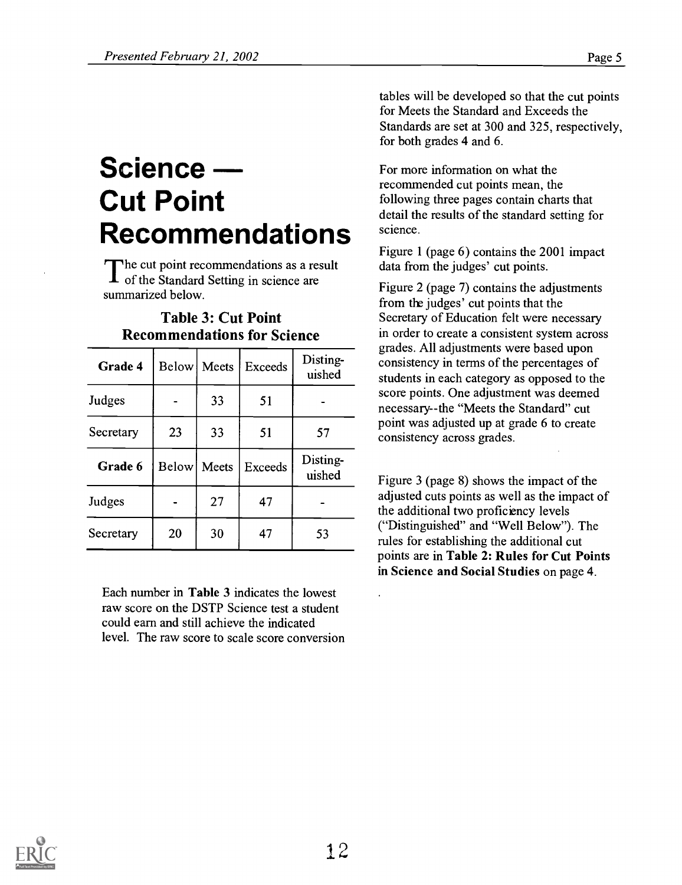# Science Cut Point Recommendations

The cut point recommendations as a result<br>of the Standard Setting in science are The cut point recommendations as a result summarized below.

| Grade 4   |                    | Below Meets | <b>Exceeds</b> | Disting-<br>uished |
|-----------|--------------------|-------------|----------------|--------------------|
| Judges    |                    | 33          | 51             |                    |
| Secretary | 23                 | 33          | 51             | 57                 |
| Grade 6   | <b>Below</b> Meets |             | <b>Exceeds</b> | Disting-<br>uished |
| Judges    |                    | 27          | 47             |                    |
| Secretary | 20                 | 30          | 47             | 53                 |

### Table 3: Cut Point Recommendations for Science

Each number in Table 3 indicates the lowest raw score on the DSTP Science test a student could earn and still achieve the indicated level. The raw score to scale score conversion tables will be developed so that the cut points for Meets the Standard and Exceeds the Standards are set at 300 and 325, respectively, for both grades 4 and 6.

For more information on what the recommended cut points mean, the following three pages contain charts that detail the results of the standard setting for science.

Figure 1 (page 6) contains the 2001 impact data from the judges' cut points.

uished students in each category as opposed to the Figure 2 (page 7) contains the adjustments from the judges' cut points that the Secretary of Education felt were necessary in order to create a consistent system across grades. All adjustments were based upon consistency in terms of the percentages of score points. One adjustment was deemed necessary--the "Meets the Standard" cut point was adjusted up at grade 6 to create consistency across grades.

uished Figure 3 (page 8) shows the impact of the adjusted cuts points as well as the impact of the additional two proficiency levels ("Distinguished" and "Well Below"). The rules for establishing the additional cut points are in Table 2: Rules for Cut Points in Science and Social Studies on page 4.

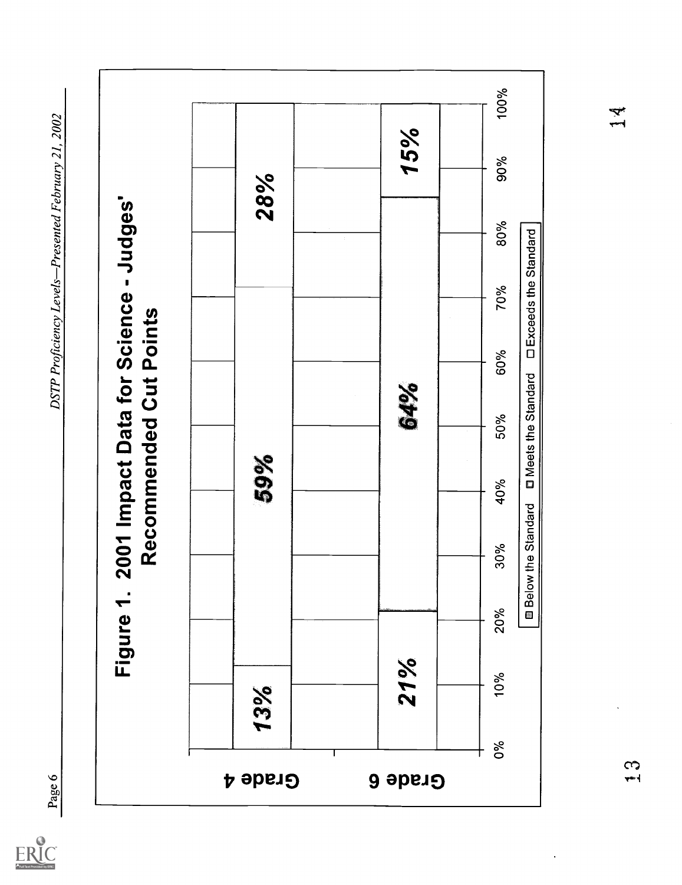

ERIC<br>Arullext Provided by ERIC

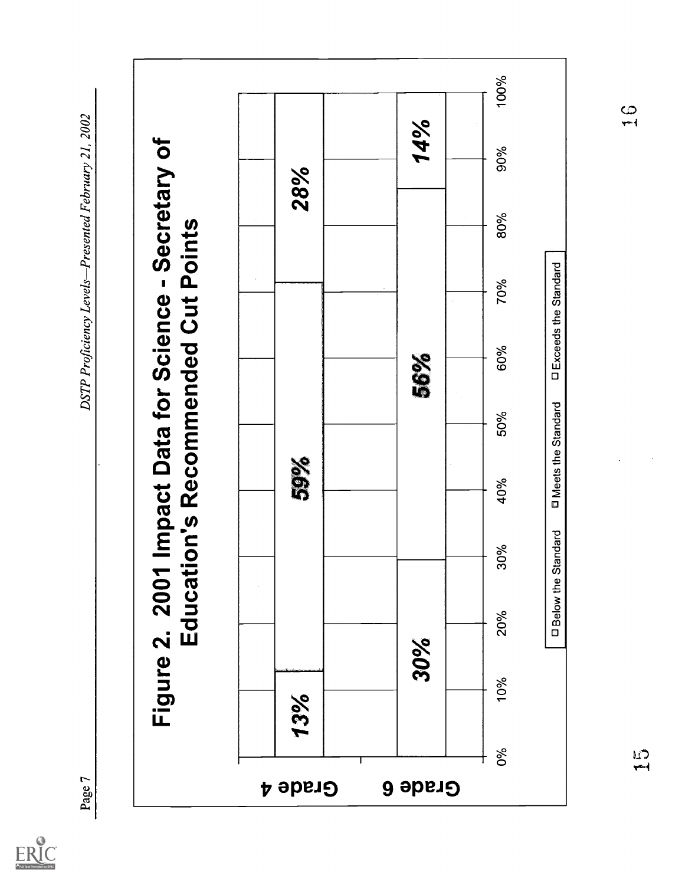

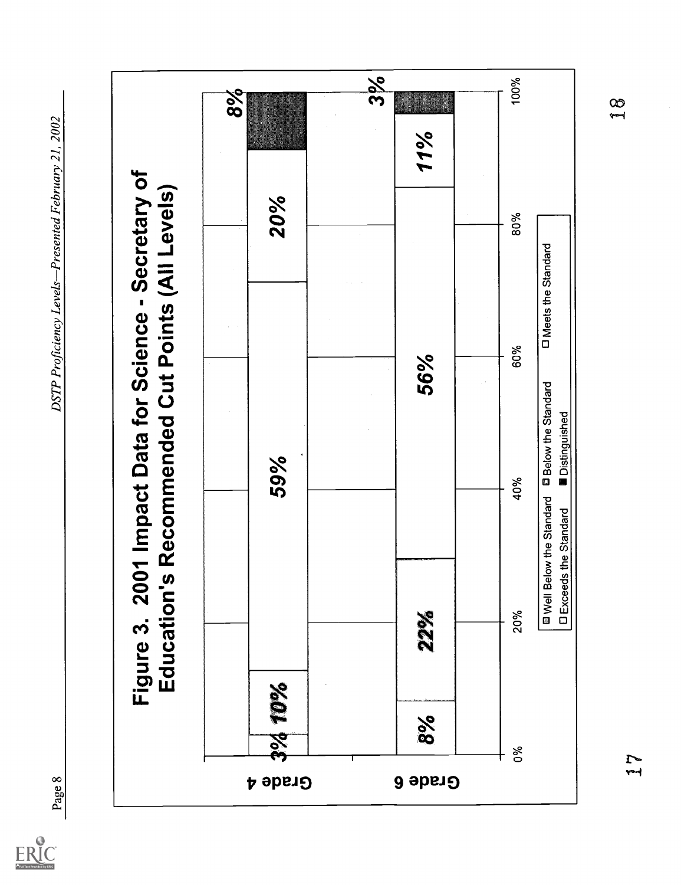

 $ER_{\text{C}}^{\text{C}}$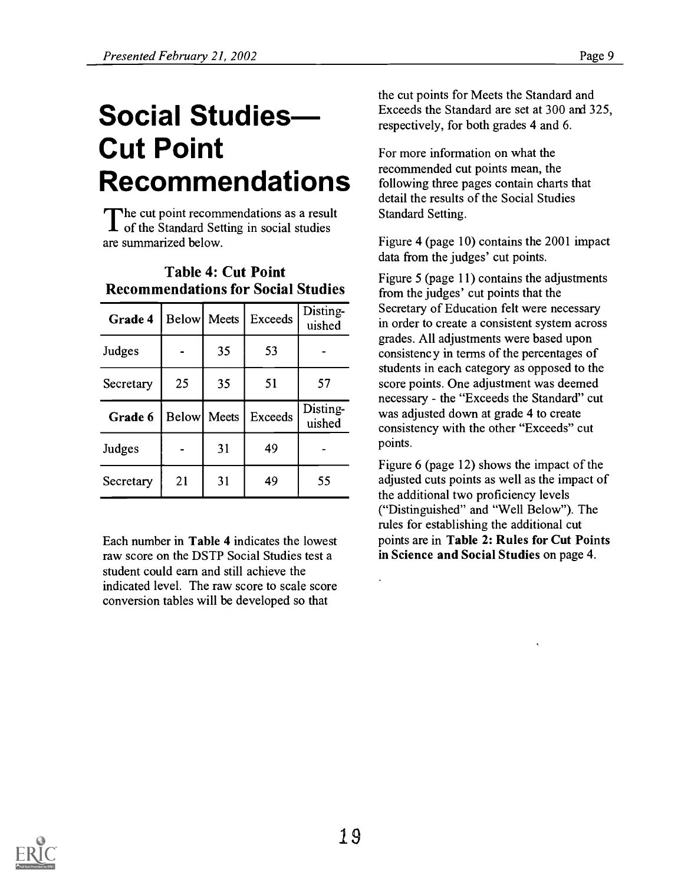# Social Studies Cut Point Recommendations

The cut point recommendations as a result<br>of the Standard Setting in social studies he cut point recommendations as a result are summarized below.

| Grade 4   |    | <b>Below</b> Meets | Exceeds | Disting-<br>uished |
|-----------|----|--------------------|---------|--------------------|
| Judges    |    | 35                 | 53      |                    |
| Secretary | 25 | 35                 | 51      | 57                 |
| Grade 6   |    | <b>Below</b> Meets | Exceeds | Disting-<br>uished |
| Judges    |    | 31                 | 49      |                    |
| Secretary | 21 | 31                 | 49      | 55                 |

# Table 4: Cut Point Recommendations for Social Studies

Each number in Table 4 indicates the lowest raw score on the DSTP Social Studies test a student could earn and still achieve the indicated level. The raw score to scale score conversion tables will be developed so that

the cut points for Meets the Standard and Exceeds the Standard are set at 300 ard 325, respectively, for both grades 4 and 6.

For more information on what the recommended cut points mean, the following three pages contain charts that detail the results of the Social Studies Standard Setting.

Figure 4 (page 10) contains the 2001 impact data from the judges' cut points.

uished in order to create a consistent system across uished consistency with the other "Exceeds" cut Figure 5 (page 11) contains the adjustments from the judges' cut points that the Secretary of Education felt were necessary grades. All adjustments were based upon consistenc y in terms of the percentages of students in each category as opposed to the score points. One adjustment was deemed necessary - the "Exceeds the Standard" cut was adjusted down at grade 4 to create points.

> Figure 6 (page 12) shows the impact of the adjusted cuts points as well as the impact of the additional two proficiency levels ("Distinguished" and "Well Below"). The rules for establishing the additional cut points are in Table 2: Rules for Cut Points in Science and Social Studies on page 4.

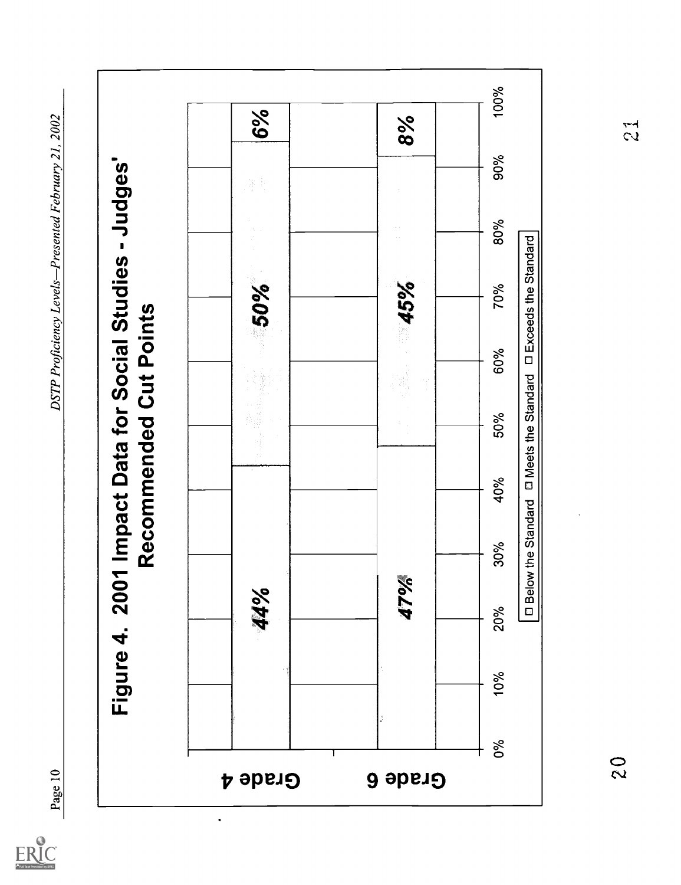$ER_{\text{C}}^{\text{C}}$ 

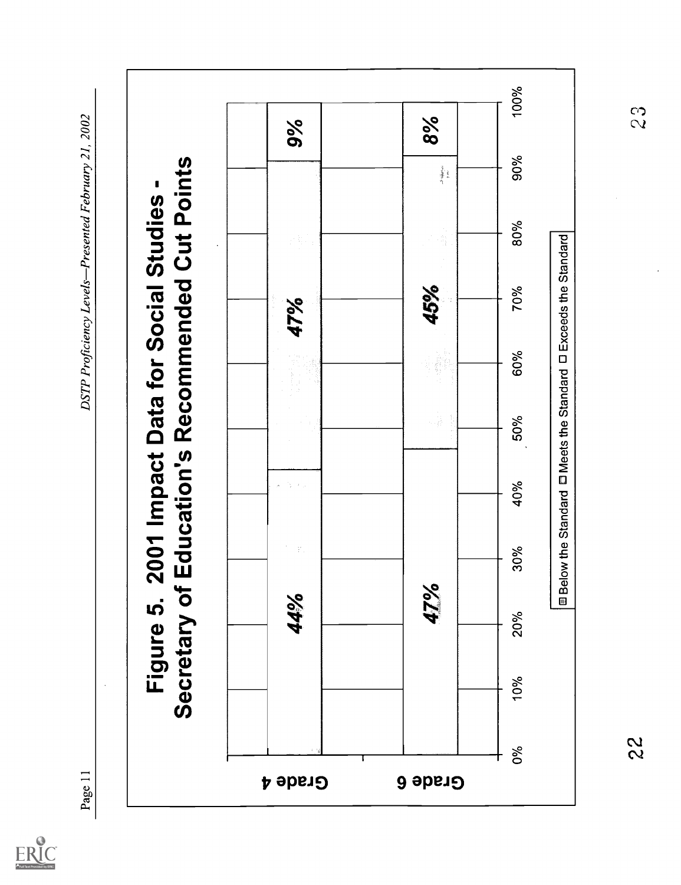$ER_{LC}^{\odot}$ 

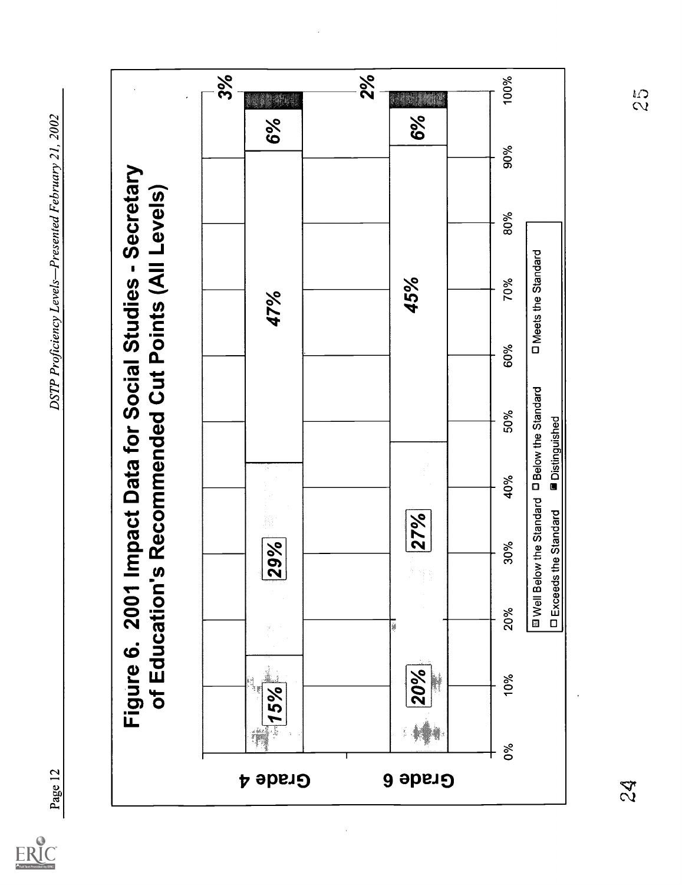$ERIC$ 

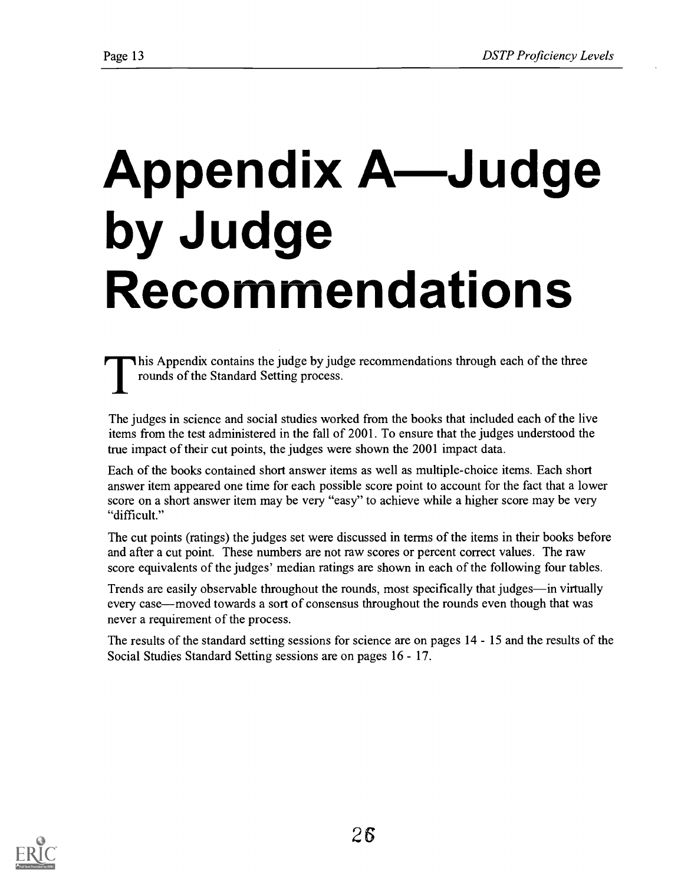# Appendix A—Judge by Judge Recommendations

This Appendix contains the judge by judge recommendations through each of the three rounds of the Standard Setting process.

The judges in science and social studies worked from the books that included each of the live items from the test administered in the fall of 2001. To ensure that the judges understood the true impact of their cut points, the judges were shown the 2001 impact data.

Each of the books contained short answer items as well as multiple-choice items. Each short answer item appeared one time for each possible score point to account for the fact that a lower score on a short answer item may be very "easy" to achieve while a higher score may be very "difficult."

The cut points (ratings) the judges set were discussed in terms of the items in their books before and after a cut point. These numbers are not raw scores or percent correct values. The raw score equivalents of the judges' median ratings are shown in each of the following four tables.

Trends are easily observable throughout the rounds, most specifically that judges—in virtually every case—moved towards a sort of consensus throughout the rounds even though that was never a requirement of the process.

The results of the standard setting sessions for science are on pages 14 - 15 and the results of the Social Studies Standard Setting sessions are on pages 16 - 17.

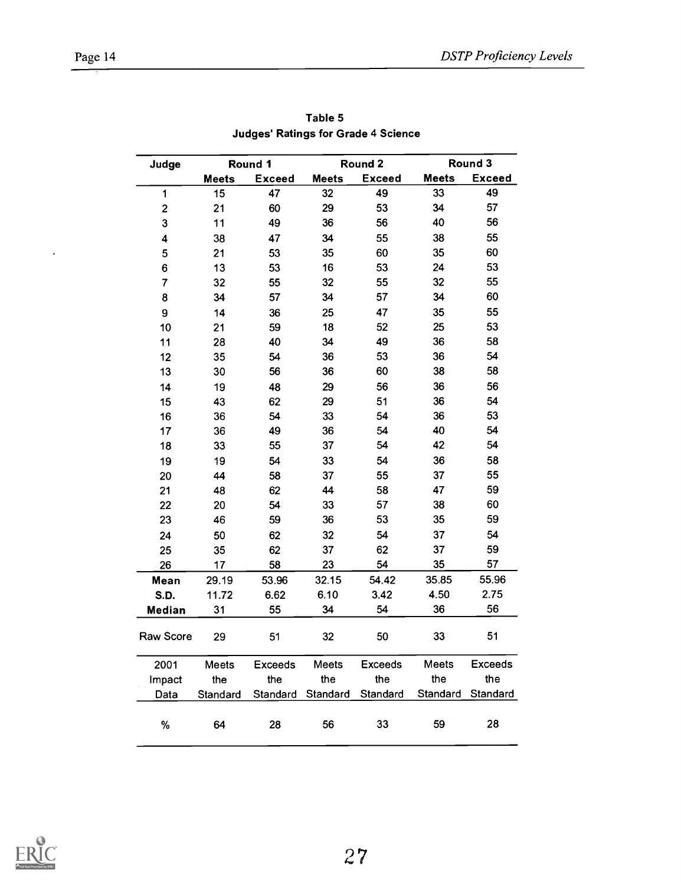$\ddot{\phantom{0}}$ 

| Judge                   |              | Round 1        |          | Round 2        |              | Round 3        |
|-------------------------|--------------|----------------|----------|----------------|--------------|----------------|
|                         | <b>Meets</b> | <b>Exceed</b>  | Meets    | <b>Exceed</b>  | <b>Meets</b> | <b>Exceed</b>  |
| 1                       | 15           | 47             | 32       | 49             | 33           | 49             |
| $\overline{\mathbf{c}}$ | 21           | 60             | 29       | 53             | 34           | 57             |
| 3                       | 11           | 49             | 36       | 56             | 40           | 56             |
| 4                       | 38           | 47             | 34       | 55             | 38           | 55             |
| 5                       | 21           | 53             | 35       | 60             | 35           | 60             |
| 6                       | 13           | 53             | 16       | 53             | 24           | 53             |
| $\overline{7}$          | 32           | 55             | 32       | 55             | 32           | 55             |
| 8                       | 34           | 57             | 34       | 57             | 34           | 60             |
| 9                       | 14           | 36             | 25       | 47             | 35           | 55             |
| 10                      | 21           | 59             | 18       | 52             | 25           | 53             |
| 11                      | 28           | 40             | 34       | 49             | 36           | 58             |
| 12                      | 35           | 54             | 36       | 53             | 36           | 54             |
| 13                      | 30           | 56             | 36       | 60             | 38           | 58             |
| 14                      | 19           | 48             | 29       | 56             | 36           | 56             |
| 15                      | 43           | 62             | 29       | 51             | 36           | 54             |
| 16                      | 36           | 54             | 33       | 54             | 36           | 53             |
| 17                      | 36           | 49             | 36       | 54             | 40           | 54             |
| 18                      | 33           | 55             | 37       | 54             | 42           | 54             |
| 19                      | 19           | 54             | 33       | 54             | 36           | 58             |
| 20                      | 44           | 58             | 37       | 55             | 37           | 55             |
| 21                      | 48           | 62             | 44       | 58             | 47           | 59             |
| 22                      | 20           | 54             | 33       | 57             | 38           | 60             |
| 23                      | 46           | 59             | 36       | 53             | 35           | 59             |
| 24                      | 50           | 62             | 32       | 54             | 37           | 54             |
| 25                      | 35           | 62             | 37       | 62             | 37           | 59             |
| 26                      | 17           | 58             | 23       | 54             | 35           | 57             |
| Mean                    | 29.19        | 53.96          | 32.15    | 54.42          | 35.85        | 55.96          |
| S.D.                    | 11.72        | 6.62           | 6.10     | 3.42           | 4.50         | 2.75           |
| Median                  | 31           | 55             | 34       | 54             | 36           | 56             |
| Raw Score               | 29           | 51             | 32       | 50             | 33           | 51             |
| 2001                    | Meets        | <b>Exceeds</b> | Meets    | <b>Exceeds</b> | Meets        | <b>Exceeds</b> |
| Impact                  | the          | the            | the      | the            | the          | the            |
| Data                    | Standard     | Standard       | Standard | Standard       | Standard     | Standard       |
| ℅                       | 64           | 28             | 56       | 33             | 59           | 28             |

Table 5 **Judges' Ratings for Grade 4 Science** 

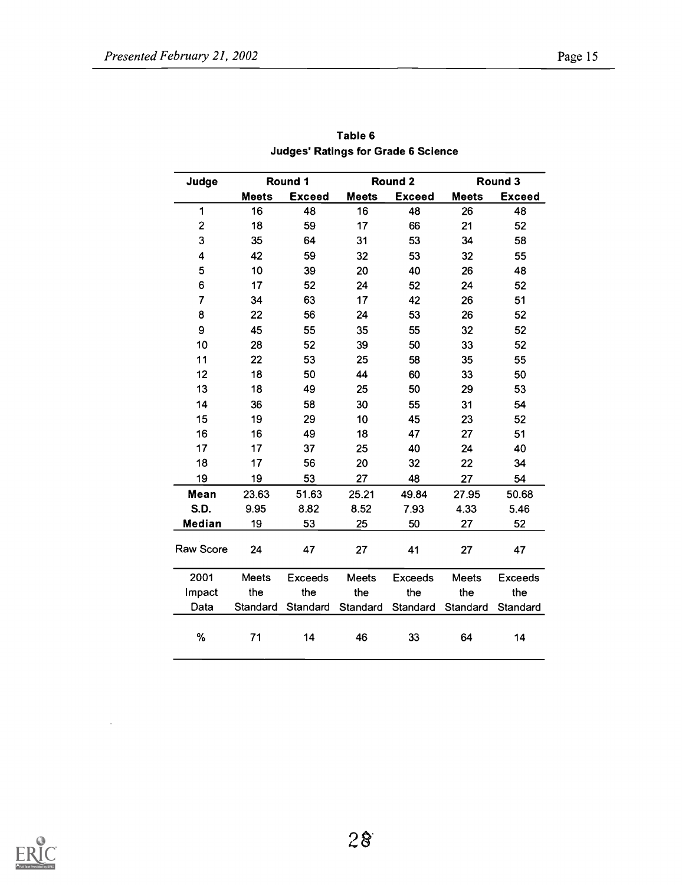| Judge          | Round 1      |                |              | Round 2        |          | Round 3        |
|----------------|--------------|----------------|--------------|----------------|----------|----------------|
|                | <b>Meets</b> | <b>Exceed</b>  | <b>Meets</b> | <b>Exceed</b>  | Meets    | <b>Exceed</b>  |
| 1              | 16           | 48             | 16           | 48             | 26       | 48             |
| 2              | 18           | 59             | 17           | 66             | 21       | 52             |
| 3              | 35           | 64             | 31           | 53             | 34       | 58             |
| 4              | 42           | 59             | 32           | 53             | 32       | 55             |
| 5              | 10           | 39             | 20           | 40             | 26       | 48             |
| 6              | 17           | 52             | 24           | 52             | 24       | 52             |
| $\overline{7}$ | 34           | 63             | 17           | 42             | 26       | 51             |
| 8              | 22           | 56             | 24           | 53             | 26       | 52             |
| 9              | 45           | 55             | 35           | 55             | 32       | 52             |
| 10             | 28           | 52             | 39           | 50             | 33       | 52             |
| 11             | 22           | 53             | 25           | 58             | 35       | 55             |
| 12             | 18           | 50             | 44           | 60             | 33       | 50             |
| 13             | 18           | 49             | 25           | 50             | 29       | 53             |
| 14             | 36           | 58             | 30           | 55             | 31       | 54             |
| 15             | 19           | 29             | 10           | 45             | 23       | 52             |
| 16             | 16           | 49             | 18           | 47             | 27       | 51             |
| 17             | 17           | 37             | 25           | 40             | 24       | 40             |
| 18             | 17           | 56             | 20           | 32             | 22       | 34             |
| 19             | 19           | 53             | 27           | 48             | 27       | 54             |
| Mean           | 23.63        | 51.63          | 25.21        | 49.84          | 27.95    | 50.68          |
| <b>S.D.</b>    | 9.95         | 8.82           | 8.52         | 7.93           | 4.33     | 5.46           |
| Median         | 19           | 53             | 25           | 50             | 27       | 52             |
| Raw Score      | 24           | 47             | 27           | 41             | 27       | 47             |
| 2001           | Meets        | <b>Exceeds</b> | Meets        | <b>Exceeds</b> | Meets    | <b>Exceeds</b> |
| Impact         | the          | the            | the          | the            | the      | the            |
| Data           | Standard     | Standard       | Standard     | Standard       | Standard | Standard       |
| $\%$           | 71           | 14             | 46           | 33             | 64       | 14             |

Table 6 Judges' Ratings for Grade 6 Science



 $\ddot{\phantom{a}}$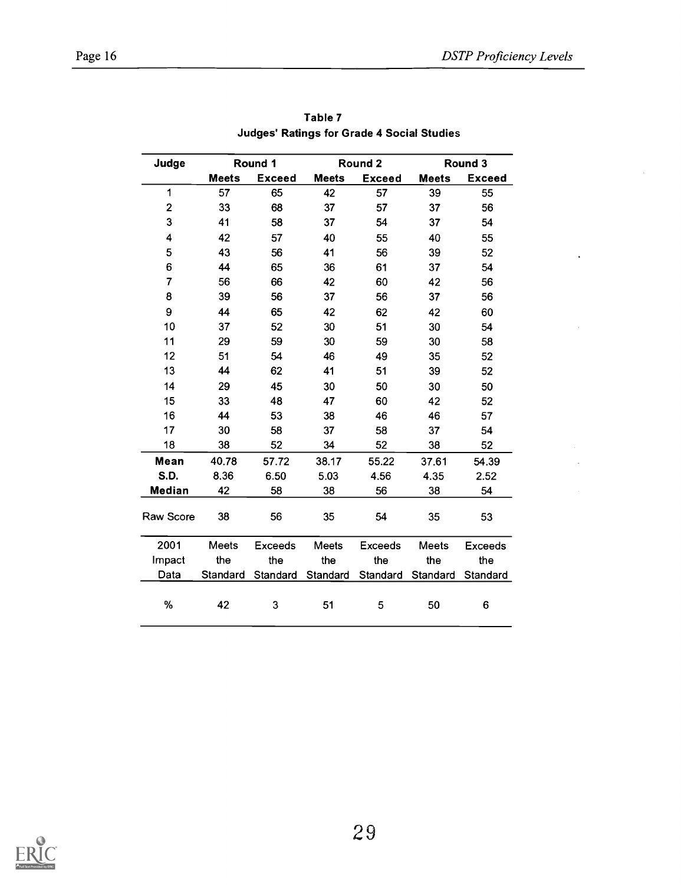$\ddot{\phantom{a}}$ 

| Judge                   |              | Round 1        |              | Round 2        |              | Round 3        |
|-------------------------|--------------|----------------|--------------|----------------|--------------|----------------|
|                         | <b>Meets</b> | <b>Exceed</b>  | <b>Meets</b> | <b>Exceed</b>  | <b>Meets</b> | <b>Exceed</b>  |
| 1                       | 57           | 65             | 42           | 57             | 39           | 55             |
| $\overline{\mathbf{c}}$ | 33           | 68             | 37           | 57             | 37           | 56             |
| 3                       | 41           | 58             | 37           | 54             | 37           | 54             |
| $\overline{\mathbf{4}}$ | 42           | 57             | 40           | 55             | 40           | 55             |
| 5                       | 43           | 56             | 41           | 56             | 39           | 52             |
| 6                       | 44           | 65             | 36           | 61             | 37           | 54             |
| $\overline{7}$          | 56           | 66             | 42           | 60             | 42           | 56             |
| 8                       | 39           | 56             | 37           | 56             | 37           | 56             |
| 9                       | 44           | 65             | 42           | 62             | 42           | 60             |
| 10                      | 37           | 52             | 30           | 51             | 30           | 54             |
| 11                      | 29           | 59             | 30           | 59             | 30           | 58             |
| 12                      | 51           | 54             | 46           | 49             | 35           | 52             |
| 13                      | 44           | 62             | 41           | 51             | 39           | 52             |
| 14                      | 29           | 45             | 30           | 50             | 30           | 50             |
| 15                      | 33           | 48             | 47           | 60             | 42           | 52             |
| 16                      | 44           | 53             | 38           | 46             | 46           | 57             |
| 17                      | 30           | 58             | 37           | 58             | 37           | 54             |
| 18                      | 38           | 52             | 34           | 52             | 38           | 52             |
| Mean                    | 40.78        | 57.72          | 38.17        | 55.22          | 37.61        | 54.39          |
| S.D.                    | 8.36         | 6.50           | 5.03         | 4.56           | 4.35         | 2.52           |
| <b>Median</b>           | 42           | 58             | 38           | 56             | 38           | 54             |
| Raw Score               | 38           | 56             | 35           | 54             | 35           | 53             |
| 2001                    | Meets        | <b>Exceeds</b> | Meets        | <b>Exceeds</b> | Meets        | <b>Exceeds</b> |
| Impact                  | the          | the            | the          | the            | the          | the            |
| Data                    | Standard     | Standard       | Standard     | Standard       | Standard     | Standard       |
| ℅                       | 42           | 3              | 51           | 5              | 50           | 6              |

Table 7 Judges' Ratings for Grade 4 Social Studies

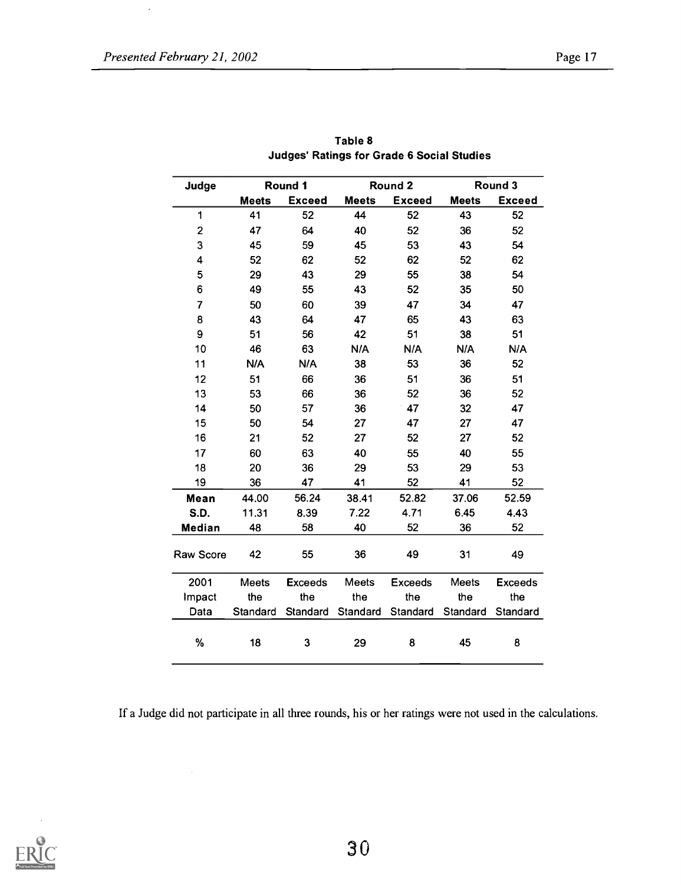| Judge          |              | Round 1        |              | Round 2        |              | Round 3        |
|----------------|--------------|----------------|--------------|----------------|--------------|----------------|
|                | <b>Meets</b> | <b>Exceed</b>  | <b>Meets</b> | <b>Exceed</b>  | <b>Meets</b> | <b>Exceed</b>  |
| $\mathbf{1}$   | 41           | 52             | 44           | 52             | 43           | 52             |
| $\mathbf{2}$   | 47           | 64             | 40           | 52             | 36           | 52             |
| 3              | 45           | 59             | 45           | 53             | 43           | 54             |
| 4              | 52           | 62             | 52           | 62             | 52           | 62             |
| 5              | 29           | 43             | 29           | 55             | 38           | 54             |
| 6              | 49           | 55             | 43           | 52             | 35           | 50             |
| $\overline{7}$ | 50           | 60             | 39           | 47             | 34           | 47             |
| 8              | 43           | 64             | 47           | 65             | 43           | 63             |
| 9              | 51           | 56             | 42           | 51             | 38           | 51             |
| 10             | 46           | 63             | N/A          | N/A            | N/A          | N/A            |
| 11             | N/A          | N/A            | 38           | 53             | 36           | 52             |
| 12             | 51           | 66             | 36           | 51             | 36           | 51             |
| 13             | 53           | 66             | 36           | 52             | 36           | 52             |
| 14             | 50           | 57             | 36           | 47             | 32           | 47             |
| 15             | 50           | 54             | 27           | 47             | 27           | 47             |
| 16             | 21           | 52             | 27           | 52             | 27           | 52             |
| 17             | 60           | 63             | 40           | 55             | 40           | 55             |
| 18             | 20           | 36             | 29           | 53             | 29           | 53             |
| 19             | 36           | 47             | 41           | 52             | 41           | 52             |
| Mean           | 44.00        | 56.24          | 38.41        | 52.82          | 37.06        | 52.59          |
| S.D.           | 11.31        | 8.39           | 7.22         | 4.71           | 6.45         | 4.43           |
| Median         | 48           | 58             | 40           | 52             | 36           | 52             |
| Raw Score      | 42           | 55             | 36           | 49             | 31           | 49             |
| 2001           | Meets        | <b>Exceeds</b> | Meets        | <b>Exceeds</b> | Meets        | <b>Exceeds</b> |
| Impact         | the          | the            | the          | the            | the          | the            |
| Data           | Standard     | Standard       | Standard     | Standard       | Standard     | Standard       |
| %              | 18           | 3              | 29           | 8              | 45           | 8              |

Table 8 Judges' Ratings for Grade 6 Social Studies

If a Judge did not participate in all three rounds, his or her ratings were not used in the calculations.

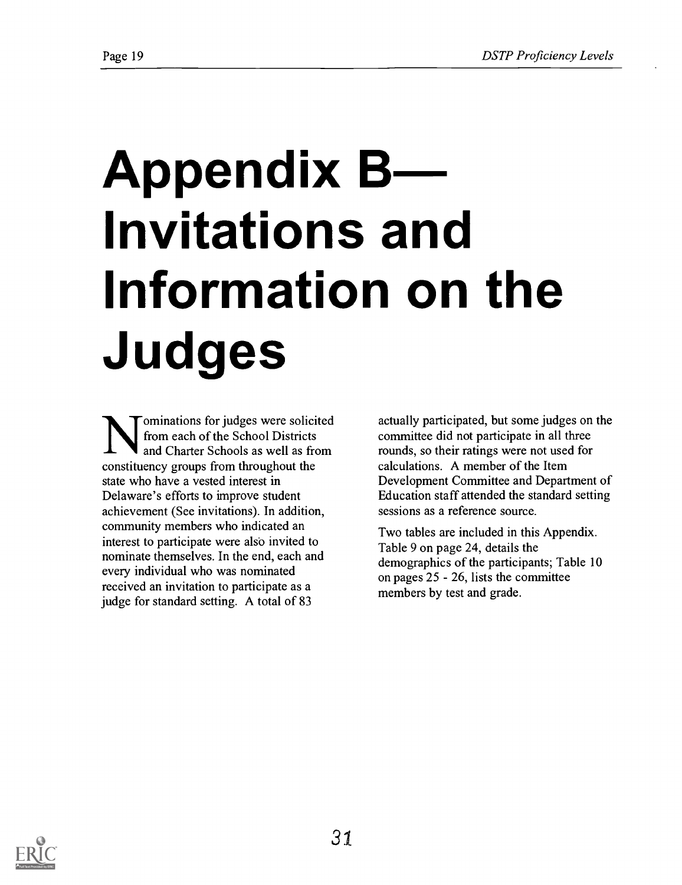# Appendix B Invitations and Information on the Judges

ominations for judges were solicited from each of the School Districts and Charter Schools as well as from constituency groups from throughout the state who have a vested interest in Delaware's efforts to improve student achievement (See invitations). In addition, community members who indicated an interest to participate were also invited to nominate themselves. In the end, each and every individual who was nominated received an invitation to participate as a judge for standard setting. A total of 83

actually participated, but some judges on the committee did not participate in all three rounds, so their ratings were not used for calculations. A member of the Item Development Committee and Department of Education staff attended the standard setting sessions as a reference source.

Two tables are included in this Appendix. Table 9 on page 24, details the demographics of the participants; Table 10 on pages  $25 - 26$ , lists the committee members by test and grade.

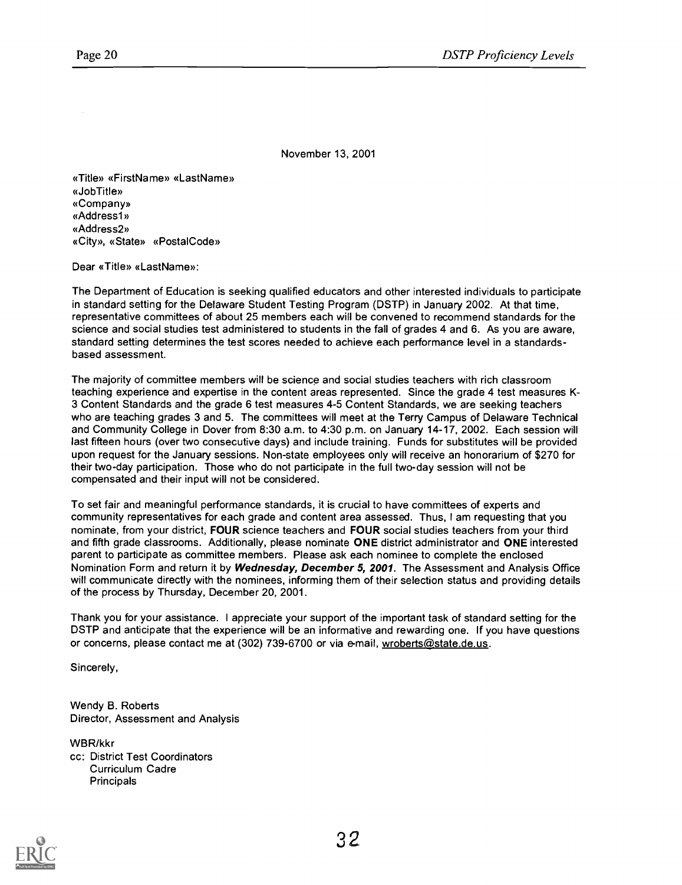November 13, 2001

«Title» «FirstName» «LastName» «Job Title» «Company» «Addressl» «Address2» «City», «State» «PostalCode»

Dear «Title» «Last Name»:

The Department of Education is seeking qualified educators and other interested individuals to participate in standard setting for the Delaware Student Testing Program (DSTP) in January 2002. At that time, representative committees of about 25 members each will be convened to recommend standards for the science and social studies test administered to students in the fall of grades 4 and 6. As you are aware, standard setting determines the test scores needed to achieve each performance level in a standardsbased assessment.

The majority of committee members will be science and social studies teachers with rich classroom teaching experience and expertise in the content areas represented. Since the grade 4 test measures K-3 Content Standards and the grade 6 test measures 4-5 Content Standards, we are seeking teachers who are teaching grades 3 and 5. The committees will meet at the Terry Campus of Delaware Technical and Community College in Dover from 8:30 a.m. to 4:30 p.m. on January 14-17, 2002. Each session will last fifteen hours (over two consecutive days) and include training. Funds for substitutes will be provided upon request for the January sessions. Non-state employees only will receive an honorarium of \$270 for their two-day participation. Those who do not participate in the full two-day session will not be compensated and their input will not be considered.

To set fair and meaningful performance standards, it is crucial to have committees of experts and community representatives for each grade and content area assessed. Thus, I am requesting that you nominate, from your district, FOUR science teachers and FOUR social studies teachers from your third and fifth grade classrooms. Additionally, please nominate ONE district administrator and ONE interested parent to participate as committee members. Please ask each nominee to complete the enclosed Nomination Form and return it by Wednesday, December 5, 2001. The Assessment and Analysis Office will communicate directly with the nominees, informing them of their selection status and providing details of the process by Thursday, December 20, 2001.

Thank you for your assistance. I appreciate your support of the important task of standard setting for the DSTP and anticipate that the experience will be an informative and rewarding one. If you have questions or concerns, please contact me at (302) 739-6700 or via e-mail, wroberts@state.de.us.

Sincerely,

Wendy B. Roberts Director, Assessment and Analysis

WBR/kkr cc: District Test Coordinators Curriculum Cadre **Principals** 

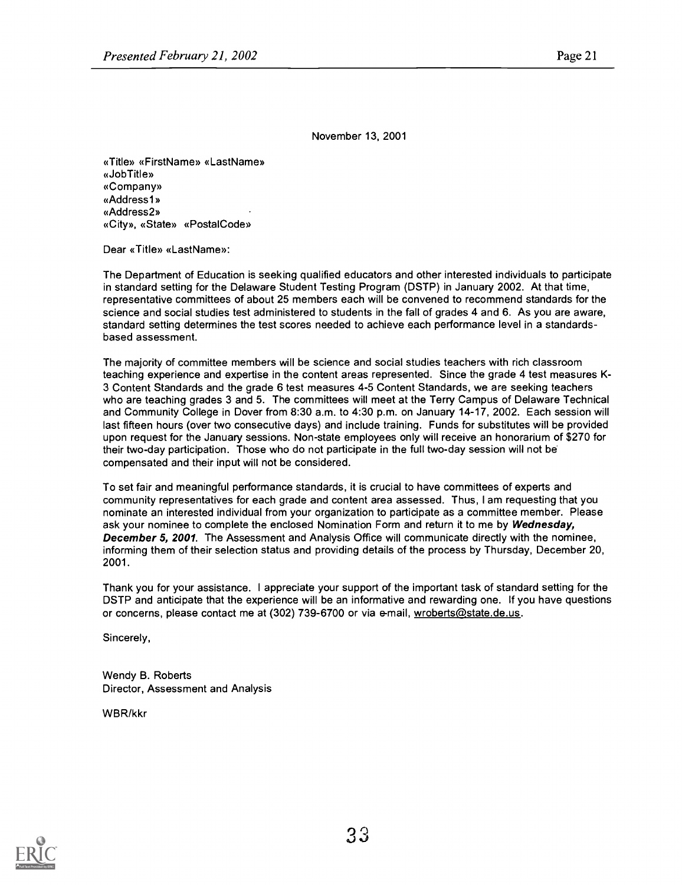November 13, 2001

«Title» «FirstName» «LastName» «Job Title» «Company» «Addressl» «Address2» «City», «State» «Postal Code»

Dear «Title» «LastName»:

The Department of Education is seeking qualified educators and other interested individuals to participate in standard setting for the Delaware Student Testing Program (DSTP) in January 2002. At that time, representative committees of about 25 members each will be convened to recommend standards for the science and social studies test administered to students in the fall of grades 4 and 6. As you are aware, standard setting determines the test scores needed to achieve each performance level in a standardsbased assessment.

The majority of committee members will be science and social studies teachers with rich classroom teaching experience and expertise in the content areas represented. Since the grade 4 test measures K-3 Content Standards and the grade 6 test measures 4-5 Content Standards, we are seeking teachers who are teaching grades 3 and 5. The committees will meet at the Terry Campus of Delaware Technical and Community College in Dover from 8:30 a.m. to 4:30 p.m. on January 14-17, 2002. Each session will last fifteen hours (over two consecutive days) and include training. Funds for substitutes will be provided upon request for the January sessions. Non-state employees only will receive an honorarium of \$270 for their two-day participation. Those who do not participate in the full two-day session will not be compensated and their input will not be considered.

To set fair and meaningful performance standards, it is crucial to have committees of experts and community representatives for each grade and content area assessed. Thus, I am requesting that you nominate an interested individual from your organization to participate as a committee member. Please ask your nominee to complete the enclosed Nomination Form and return it to me by Wednesday, December 5, 2001. The Assessment and Analysis Office will communicate directly with the nominee, informing them of their selection status and providing details of the process by Thursday, December 20, 2001.

Thank you for your assistance. I appreciate your support of the important task of standard setting for the DSTP and anticipate that the experience will be an informative and rewarding one. If you have questions or concerns, please contact me at (302) 739-6700 or via e-mail, wroberts@state.de.us.

Sincerely,

Wendy B. Roberts Director, Assessment and Analysis

WBR/kkr

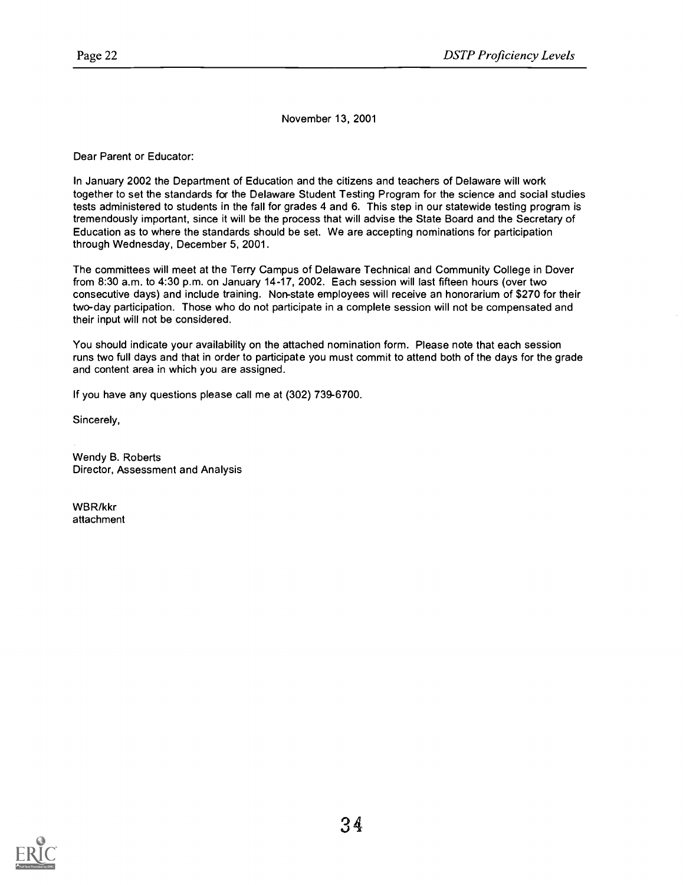November 13, 2001

Dear Parent or Educator:

In January 2002 the Department of Education and the citizens and teachers of Delaware will work together to set the standards for the Delaware Student Testing Program for the science and social studies tests administered to students in the fall for grades 4 and 6. This step in our statewide testing program is tremendously important, since it will be the process that will advise the State Board and the Secretary of Education as to where the standards should be set. We are accepting nominations for participation through Wednesday, December 5, 2001.

The committees will meet at the Terry Campus of Delaware Technical and Community College in Dover from 8:30 a.m. to 4:30 p.m. on January 14-17, 2002. Each session will last fifteen hours (over two consecutive days) and include training. Non-state employees will receive an honorarium of \$270 for their two-day participation. Those who do not participate in a complete session will not be compensated and their input will not be considered.

You should indicate your availability on the attached nomination form. Please note that each session runs two full days and that in order to participate you must commit to attend both of the days for the grade and content area in which you are assigned.

If you have any questions please call me at (302) 739-6700.

Sincerely,

Wendy B. Roberts Director, Assessment and Analysis

WBR/kkr attachment

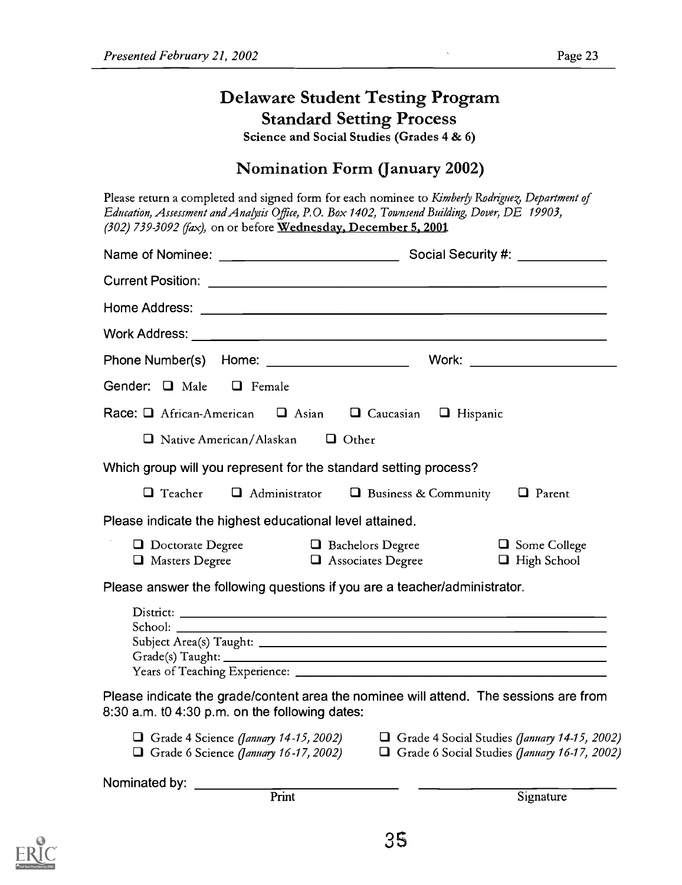# Delaware Student Testing Program Standard Setting Process

Science and Social Studies (Grades 4 & 6)

# Nomination Form (January 2002)

Please return a completed and signed form for each nominee to Kimberly Rodriguez, Department of Education, Assessment and Analysis Office, P.O. Box 1402, Townsend Building, Dover, DE 19903,  $(302)$  739-3092 (fax), on or before Wednesday, December 5, 2001.

| Gender: Q Male                                   | $\Box$ Female                                                                                                         |                                                                                              |  |
|--------------------------------------------------|-----------------------------------------------------------------------------------------------------------------------|----------------------------------------------------------------------------------------------|--|
|                                                  | Race: $\Box$ African-American $\Box$ Asian $\Box$ Caucasian                                                           | □ Hispanic                                                                                   |  |
|                                                  | $\Box$ Native American/Alaskan $\Box$ Other                                                                           |                                                                                              |  |
|                                                  | Which group will you represent for the standard setting process?                                                      |                                                                                              |  |
| $\Box$ Teacher                                   | $\Box$ Administrator                                                                                                  | $\Box$ Business & Community $\Box$ Parent                                                    |  |
|                                                  | Please indicate the highest educational level attained.                                                               |                                                                                              |  |
| D Doctorate Degree<br>$\Box$ Masters Degree      | □ Bachelors Degree<br>$\Box$ Associates Degree                                                                        | $\Box$ Some College<br>$\Box$ High School                                                    |  |
|                                                  | Please answer the following questions if you are a teacher/administrator.                                             |                                                                                              |  |
|                                                  | <u> 1989 - Johann Stein, marwolaethau a bhann an t-Amhainn an t-Amhainn an t-Amhainn an t-Amhainn an t-Amhainn an</u> |                                                                                              |  |
| $8:30$ a.m. t0 4:30 p.m. on the following dates: | Please indicate the grade/content area the nominee will attend. The sessions are from                                 |                                                                                              |  |
|                                                  | Grade 4 Science (January 14-15, 2002)<br>$\Box$ Grade 6 Science (January 16-17, 2002)                                 | Grade 4 Social Studies (January 14-15, 2002)<br>Grade 6 Social Studies (January 16-17, 2002) |  |
| Nominated by:                                    | Print                                                                                                                 | Signature                                                                                    |  |
|                                                  |                                                                                                                       |                                                                                              |  |

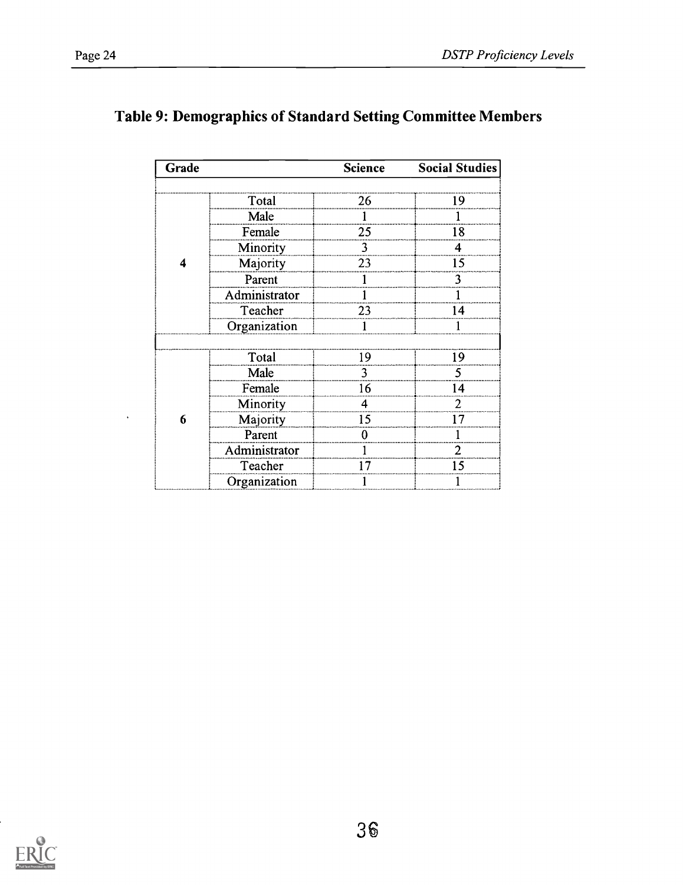$\ddot{\phantom{0}}$ 

| Grade |               | <b>Science</b> | <b>Social Studies</b> |
|-------|---------------|----------------|-----------------------|
|       |               |                |                       |
|       | Total         | 26             |                       |
|       | Male          |                |                       |
|       | Female        | 25             | 18                    |
|       | Minority      | 3              |                       |
|       | Majority      | 23             | 15                    |
|       | Parent        |                |                       |
|       | Administrator |                |                       |
|       | Teacher       | 23             | 4                     |
|       | Organization  |                |                       |
|       |               |                |                       |
|       | Total         | ١q             | ۱9                    |
|       | Male          |                |                       |
|       | Female        | 16             | 4                     |
|       | Minority      |                |                       |
| 6     | Majority      | 15             |                       |
|       | Parent        |                |                       |
|       | Administrator |                |                       |
|       | Teacher       |                | 15                    |
|       | Organization  |                |                       |

# Table 9: Demographics of Standard Setting Committee Members

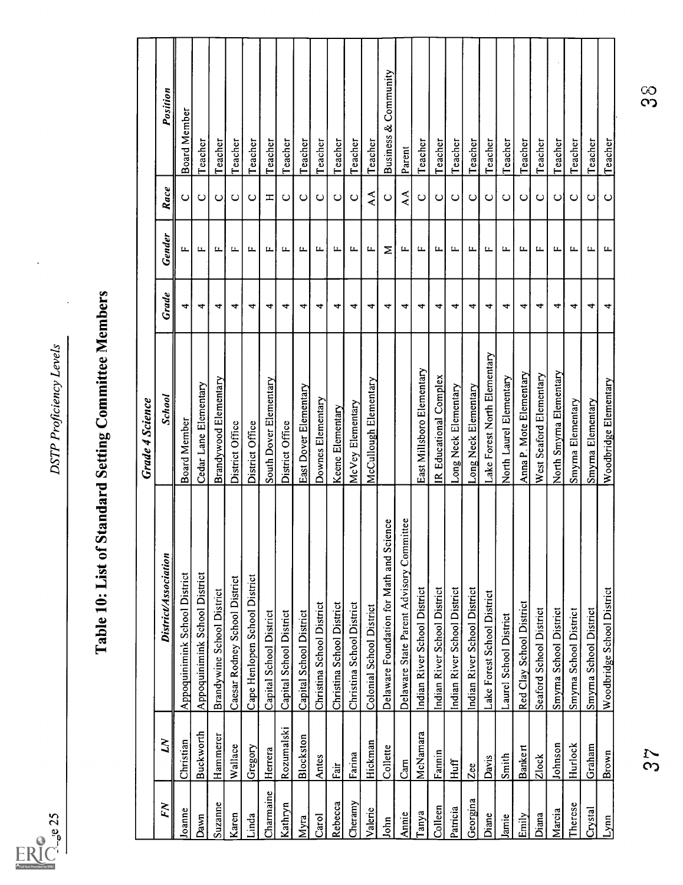

# Page 25 DSTP Proficiency Levels Table 10: List of Standard Setting Committee Members Grade 4 Science FN LN District/Association School Grade Gender Race Position Joanne Christian Appoquinimink School District Board Member 4 F C Board Member Dawn Buckworth Appoquinimink School District Cedar Lane Elementary 4 F C Teacher Suzanne Hammerer Brandywine School District Brandywood Elementary 4 F C Teacher Karen Wallace Caesar Rodney School District District Office 4 F C Teacher Linda Gregory Cape Henlopen School District District Office 4 F C Teacher Charmaine Herrera Capital School District South Dover Elementary 4 F H Teacher Kathryn Rozumalski Capital School District District Office 4 F C Teacher Myra Blockston Capital School District East Dover Elementary 4 F C Teacher Carol Antes Christina School District Downes Elementary 4 F C Teacher Rebecca Fair Christina School District Keene Elementary 4 F C Teacher Cheramy Farina Christina School District McVey Elementary 4 F C Teacher Valerie Hickman Colonial School District McCullough Elementary 4 F AA Teacher John Collette Delaware Foundation for Math and Science 4 M C Business & Community Annie Cam Delaware State Parent Advisory Committee 4 F AA Parent Tanya McNamara Indian River School District East Millsboro Elementary 4 F C Teacher Colleen Fannin Indian River School District IR Educational Complex 4 F C Teacher Patricia Huff Indian River School District Long Neck Elementary 4 F C Teacher Georgina Zee Indian River School District Long Neck Elementary 4 F C Teacher Diane Davis Lake Forest School District Lake Forest North Elementary 4 F C Teacher Jamie Smith Laurel School District North Laurel Elementary 4 F C Teacher Emily Banke rt Red Clay School District Anna P. Mote Elementary 4 F C Teacher Diana Zlock Seaford School District West Seaford Elementary 4 F C Teacher Marcia Johnson Smyrna School District North Smyrna Elementary 4 F C Teacher Therese Hurlock Smyrna School District Smyrna Elementary 4 F C Teacher Crystal Graham Smyrna School District Smyrna Elementary 4 F C Teacher Lynn Brown Woodbridge School District Woodbridge Elementary 4 F C Teacher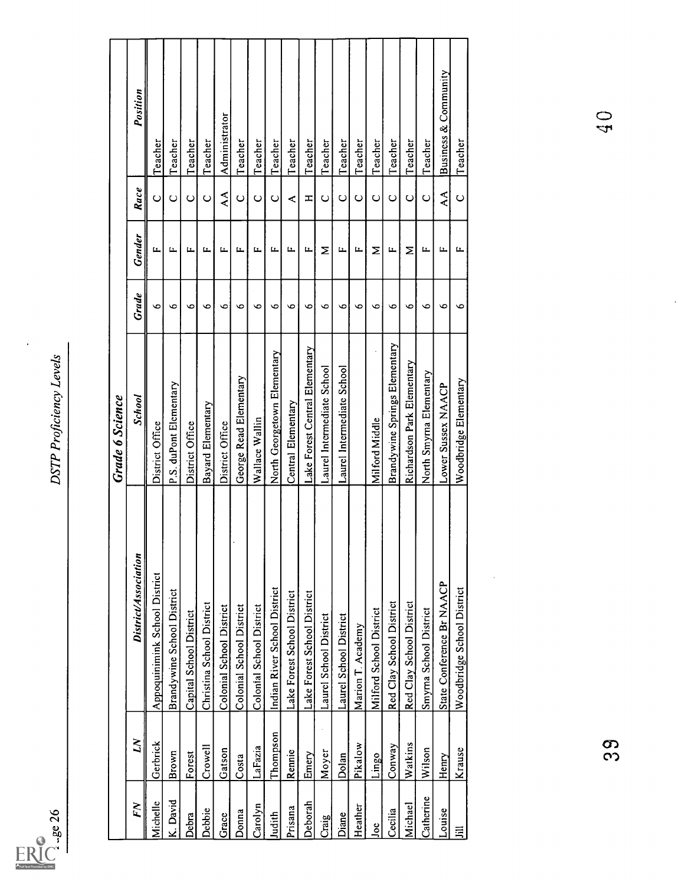

l,

| Grade<br>$\bullet$<br>$\bullet$<br>$\bullet$<br>$\bullet$<br>$\bullet$<br>$\circ$<br>O<br>$\circ$<br>$\circ$<br>$\bullet$<br>$\bullet$<br>$\bullet$<br>$\bullet$<br>$\bullet$<br>$\bullet$<br>$\bullet$<br>$\bullet$<br>$\bullet$<br>$\bullet$<br>Brandywine Springs Elementary<br>Lake Forest Central Elementary<br>North Georgetown Elementary<br>Richardson Park Elementary<br>Laurel Intermediate School<br>Laurel Intermediate School<br>North Smyma Elementary<br>George Read Elementary<br>Woodbridge Elementary<br>P.S. duPont Elementary<br>Lower Sussex NAACP<br>School<br>Central Elementary<br>Bayard Elementary<br>Wallace Wallin<br>Milford Middle<br>District Office<br>District Office<br>District Office<br>District/Association<br>Appoquinimink School District<br>State Conference Br NAACP<br>Woodbridge School District<br>Indian River School District<br>Brandywine School District<br>Lake Forest School District<br>Lake Forest School District<br>Red Clay School District<br>Christina School District<br>Red Clay School District<br>Colonial School District<br><b>Colonial School District</b><br>Colonial School District<br>Smyma School District<br>Milford School District<br>Capital School District<br>Laurel School District<br>Laurel School District<br>Marion T. Academy<br>Thompson<br>ΣN<br>Gerbrick<br>Watkins<br>Pikalow<br>Conway<br>Crowell<br>LaFazia<br>Krause<br>Wilson<br>Gatson<br>Rennie<br>Moyer<br>Brown<br>Emery<br>Forest<br>Lingo<br>Dolan<br>Costa<br>Henry<br>Catherine<br>K. David<br>Michelle<br>Deborah<br>FN<br>Michael<br>Carolyn<br>Heather<br>Prisana<br>Debbie<br>Cecilia<br>Louise<br>Donna<br>Judith<br>Diane<br>Debra<br>Grace<br>Craig<br>Joe<br>扂 |  | <b>Grade 6 Science</b> |              |                        |                      |
|----------------------------------------------------------------------------------------------------------------------------------------------------------------------------------------------------------------------------------------------------------------------------------------------------------------------------------------------------------------------------------------------------------------------------------------------------------------------------------------------------------------------------------------------------------------------------------------------------------------------------------------------------------------------------------------------------------------------------------------------------------------------------------------------------------------------------------------------------------------------------------------------------------------------------------------------------------------------------------------------------------------------------------------------------------------------------------------------------------------------------------------------------------------------------------------------------------------------------------------------------------------------------------------------------------------------------------------------------------------------------------------------------------------------------------------------------------------------------------------------------------------------------------------------------------------------------------------------------------------------------------------------------------------------------------------------------------------------------|--|------------------------|--------------|------------------------|----------------------|
|                                                                                                                                                                                                                                                                                                                                                                                                                                                                                                                                                                                                                                                                                                                                                                                                                                                                                                                                                                                                                                                                                                                                                                                                                                                                                                                                                                                                                                                                                                                                                                                                                                                                                                                            |  |                        | Gender       | Race                   | Position             |
|                                                                                                                                                                                                                                                                                                                                                                                                                                                                                                                                                                                                                                                                                                                                                                                                                                                                                                                                                                                                                                                                                                                                                                                                                                                                                                                                                                                                                                                                                                                                                                                                                                                                                                                            |  |                        | Щ            | $\circ$                | $\mathsf{T}$ eacher  |
|                                                                                                                                                                                                                                                                                                                                                                                                                                                                                                                                                                                                                                                                                                                                                                                                                                                                                                                                                                                                                                                                                                                                                                                                                                                                                                                                                                                                                                                                                                                                                                                                                                                                                                                            |  |                        | щ            | $\circ$                | Teacher              |
|                                                                                                                                                                                                                                                                                                                                                                                                                                                                                                                                                                                                                                                                                                                                                                                                                                                                                                                                                                                                                                                                                                                                                                                                                                                                                                                                                                                                                                                                                                                                                                                                                                                                                                                            |  |                        | щ            | $\mathsf{C}$           | Teacher              |
|                                                                                                                                                                                                                                                                                                                                                                                                                                                                                                                                                                                                                                                                                                                                                                                                                                                                                                                                                                                                                                                                                                                                                                                                                                                                                                                                                                                                                                                                                                                                                                                                                                                                                                                            |  |                        | щ            | $\circ$                | Teacher              |
|                                                                                                                                                                                                                                                                                                                                                                                                                                                                                                                                                                                                                                                                                                                                                                                                                                                                                                                                                                                                                                                                                                                                                                                                                                                                                                                                                                                                                                                                                                                                                                                                                                                                                                                            |  |                        | ᄔ            | $\mathsf{A}\mathsf{A}$ | Administrator        |
|                                                                                                                                                                                                                                                                                                                                                                                                                                                                                                                                                                                                                                                                                                                                                                                                                                                                                                                                                                                                                                                                                                                                                                                                                                                                                                                                                                                                                                                                                                                                                                                                                                                                                                                            |  |                        | щ            | $\mathsf{C}$           | Teacher              |
|                                                                                                                                                                                                                                                                                                                                                                                                                                                                                                                                                                                                                                                                                                                                                                                                                                                                                                                                                                                                                                                                                                                                                                                                                                                                                                                                                                                                                                                                                                                                                                                                                                                                                                                            |  |                        | щ            | $\circ$                | Teacher              |
|                                                                                                                                                                                                                                                                                                                                                                                                                                                                                                                                                                                                                                                                                                                                                                                                                                                                                                                                                                                                                                                                                                                                                                                                                                                                                                                                                                                                                                                                                                                                                                                                                                                                                                                            |  |                        | ᄔ            | $\circ$                | Teacher              |
|                                                                                                                                                                                                                                                                                                                                                                                                                                                                                                                                                                                                                                                                                                                                                                                                                                                                                                                                                                                                                                                                                                                                                                                                                                                                                                                                                                                                                                                                                                                                                                                                                                                                                                                            |  |                        | щ            | $\prec$                | Teacher              |
|                                                                                                                                                                                                                                                                                                                                                                                                                                                                                                                                                                                                                                                                                                                                                                                                                                                                                                                                                                                                                                                                                                                                                                                                                                                                                                                                                                                                                                                                                                                                                                                                                                                                                                                            |  |                        | щ            | $\pm$                  | Teacher              |
|                                                                                                                                                                                                                                                                                                                                                                                                                                                                                                                                                                                                                                                                                                                                                                                                                                                                                                                                                                                                                                                                                                                                                                                                                                                                                                                                                                                                                                                                                                                                                                                                                                                                                                                            |  |                        | Σ            | $\mathsf{C}$           | Teacher              |
|                                                                                                                                                                                                                                                                                                                                                                                                                                                                                                                                                                                                                                                                                                                                                                                                                                                                                                                                                                                                                                                                                                                                                                                                                                                                                                                                                                                                                                                                                                                                                                                                                                                                                                                            |  |                        | щ            | $\circ$                | Teacher              |
|                                                                                                                                                                                                                                                                                                                                                                                                                                                                                                                                                                                                                                                                                                                                                                                                                                                                                                                                                                                                                                                                                                                                                                                                                                                                                                                                                                                                                                                                                                                                                                                                                                                                                                                            |  |                        | щ            | $\cup$                 | Teacher              |
|                                                                                                                                                                                                                                                                                                                                                                                                                                                                                                                                                                                                                                                                                                                                                                                                                                                                                                                                                                                                                                                                                                                                                                                                                                                                                                                                                                                                                                                                                                                                                                                                                                                                                                                            |  |                        | Σ            | $\cup$                 | Teacher              |
|                                                                                                                                                                                                                                                                                                                                                                                                                                                                                                                                                                                                                                                                                                                                                                                                                                                                                                                                                                                                                                                                                                                                                                                                                                                                                                                                                                                                                                                                                                                                                                                                                                                                                                                            |  |                        | щ            | $\circ$                | Teacher              |
|                                                                                                                                                                                                                                                                                                                                                                                                                                                                                                                                                                                                                                                                                                                                                                                                                                                                                                                                                                                                                                                                                                                                                                                                                                                                                                                                                                                                                                                                                                                                                                                                                                                                                                                            |  |                        | Σ            | $\circ$                | Teacher              |
|                                                                                                                                                                                                                                                                                                                                                                                                                                                                                                                                                                                                                                                                                                                                                                                                                                                                                                                                                                                                                                                                                                                                                                                                                                                                                                                                                                                                                                                                                                                                                                                                                                                                                                                            |  |                        | $\mathbf{L}$ | $\circ$                | Teacher              |
|                                                                                                                                                                                                                                                                                                                                                                                                                                                                                                                                                                                                                                                                                                                                                                                                                                                                                                                                                                                                                                                                                                                                                                                                                                                                                                                                                                                                                                                                                                                                                                                                                                                                                                                            |  |                        | ᄔ            | $\mathsf{A}\mathsf{A}$ | Business & Community |
|                                                                                                                                                                                                                                                                                                                                                                                                                                                                                                                                                                                                                                                                                                                                                                                                                                                                                                                                                                                                                                                                                                                                                                                                                                                                                                                                                                                                                                                                                                                                                                                                                                                                                                                            |  |                        | щ            | $\circ$                | Teacher              |
|                                                                                                                                                                                                                                                                                                                                                                                                                                                                                                                                                                                                                                                                                                                                                                                                                                                                                                                                                                                                                                                                                                                                                                                                                                                                                                                                                                                                                                                                                                                                                                                                                                                                                                                            |  |                        |              |                        |                      |
|                                                                                                                                                                                                                                                                                                                                                                                                                                                                                                                                                                                                                                                                                                                                                                                                                                                                                                                                                                                                                                                                                                                                                                                                                                                                                                                                                                                                                                                                                                                                                                                                                                                                                                                            |  |                        |              |                        |                      |

တ္လ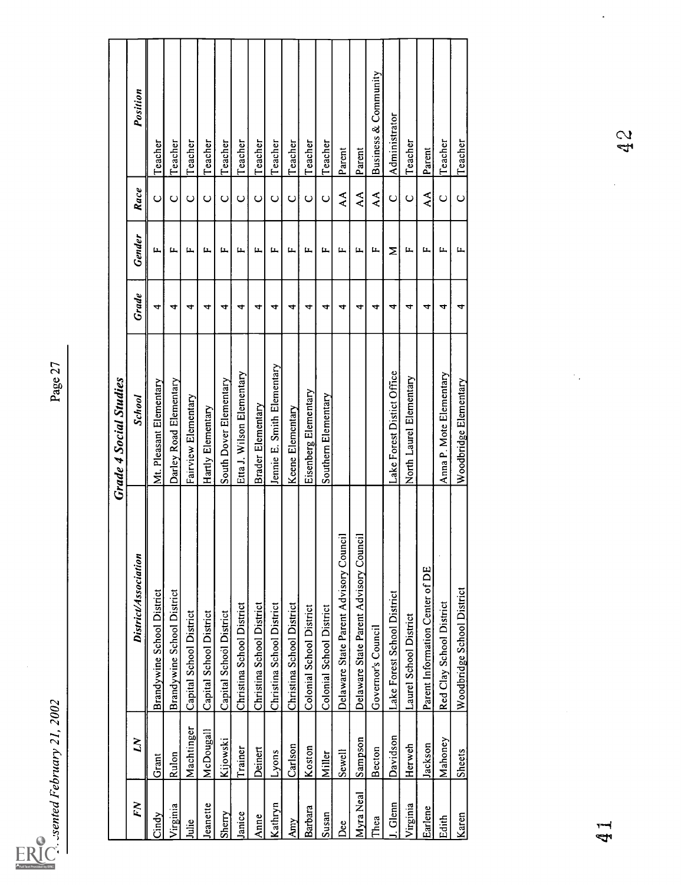| くへへく           |
|----------------|
| ι              |
|                |
| <b>Februar</b> |
|                |
| sentea         |
|                |
|                |
|                |

|            |                |                                        | <b>Grade 4 Social Studies</b> |                      |              |                        |                      |
|------------|----------------|----------------------------------------|-------------------------------|----------------------|--------------|------------------------|----------------------|
| FN         | $\overline{M}$ | District/Association                   | School                        | Grade                | Gender       | Race                   | Position             |
| Cindy      | Grant          | Brandywine School District             | Mt. Pleasant Elementary       | 4                    | Щ            | $\circ$                | Teacher              |
| Virginia   | Rulon          | Brandywine School District             | Darley Road Elementary        | 4                    | Щ.           | $\mathsf{C}$           | Teacher              |
| Julie      | Machtinger     | Capital School District                | Fairview Elementary           | 4                    | ц,           | $\mathsf{\mathsf{C}}$  | Teacher              |
| Jeanette   | McDougall      | Capital School District                | Hartly Elementary             | 4                    | щ            | $\mathsf{C}$           | Teacher              |
| Sherry     | Kijowski       | Capital School District                | South Dover Elementary        | 4                    | щ            | $\circ$                | Teacher              |
| Janice     | Trainer        | Christina School District              | Etta J. Wilson Elementary     | 4                    | L.           | $\mathsf{C}$           | Teacher              |
| Anne       | Deinert        | Christina School District              | Brader Elementary             | 4                    | Ц.,          | $\mathsf{C}$           | Teacher              |
| Kathryn    | Lyons          | Christina School District              | Jennie E. Smith Elementary    | 4                    | щ            | $\circ$                | Teacher              |
| <b>Amy</b> | Carlson        | Christina School District              | Keene Elementary              | 4                    | $\mathbf{L}$ | $\mathrel{\circ}$      | Teacher              |
| Barbara    | Koston         | Colonial School District               | Eisenberg Elementary          | 4                    | щ            | $\circ$                | Teacher              |
| Susan      | Miller         | Colonial School District               | Southern Elementary           | 4                    | L.           | $\cup$                 | Teacher              |
| Dee        | Sewell         | Delaware State Parent Advisory Council |                               | 4                    | щ            | $\mathsf{A}\mathsf{A}$ | Parent               |
| Myra Neal  | Sampson        | Delaware State Parent Advisory Council |                               | $\blacktriangleleft$ | L.           | $\mathsf{A}\mathsf{A}$ | Parent               |
| Thea       | Becton         | Governor's Council                     |                               | 4                    | ц.           | $\mathsf{A}\mathsf{A}$ | Business & Community |
| J. Glenn   | Davidson       | Lake Forest School District            | Lake Forest Distict Office    | 4                    | Σ            | $\circ$                | Administrator        |
| Virginia   | Herweh         | Laurel School District                 | North Laurel Elementary       | 4                    | щ            | $\circ$                | Teacher              |
| Earlene    | Jackson        | Parent Information Center of DE        |                               | 4                    | Ц.,          | $\mathop{\mathsf{AA}}$ | Parent               |
| Edith      | Mahoney        | Red Clay School District               | Anna P. Mote Elementary       | 4                    | $\mathbf{L}$ | $\mathbf{\mathsf{C}}$  | Teacher              |
| Karen      | <b>Sheets</b>  | Woodbridge School District             | Woodbridge Elementary         | 4                    | щ            | $\cup$                 | Teacher              |
|            |                |                                        |                               |                      |              |                        |                      |
|            |                |                                        | $\gamma_{\alpha}$             |                      |              |                        |                      |
| ا<br>پیم   |                |                                        |                               |                      |              |                        |                      |
|            |                |                                        |                               |                      |              |                        | 42<br>2              |
|            |                |                                        |                               |                      |              |                        |                      |
|            |                |                                        |                               |                      |              |                        |                      |
|            |                |                                        |                               |                      |              |                        |                      |

 $\ddot{\phantom{a}}$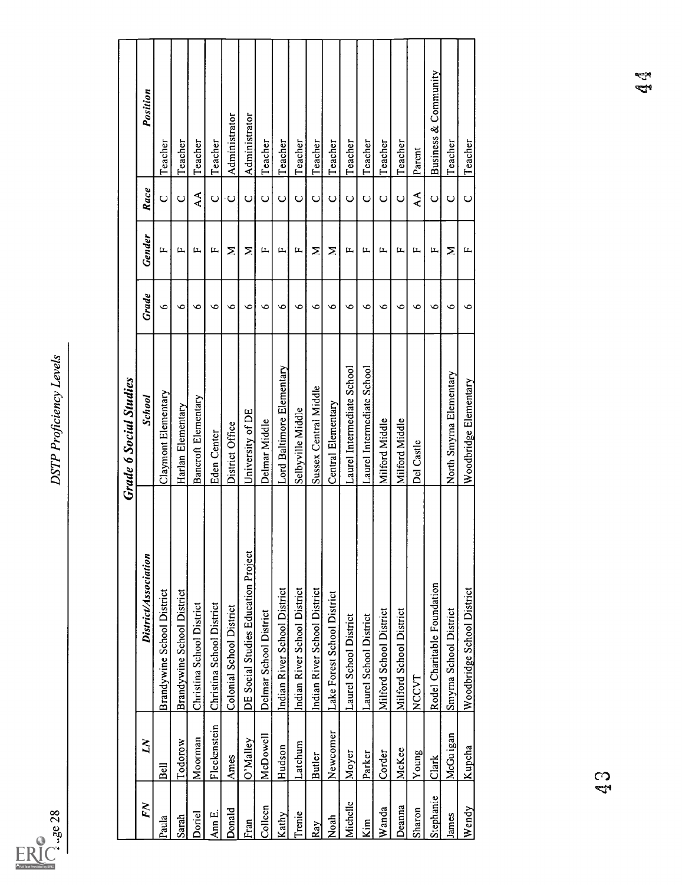

| 28                      |              |                                     | DSTP Proficiency Levels       |              |               |                                    |                      |
|-------------------------|--------------|-------------------------------------|-------------------------------|--------------|---------------|------------------------------------|----------------------|
|                         |              |                                     | <b>Grade 6 Social Studies</b> |              |               |                                    |                      |
| FN                      | $\mathbf{N}$ | District/Association                | School                        | <b>Grade</b> | <b>Gender</b> | $Face$                             | Position             |
| Paula                   | Bell         | Brandywine School District          | Claymont Elementary           | $\bullet$    | щ             | $\cup$                             | Teacher              |
| Sarah                   | Todorow      | Brandywine School District          | Harlan Elementary             | $\bullet$    | $\mathbf{L}$  | $\cup$                             | Teacher              |
| Doriel                  | Moorman      | Christina School District           | Bancroft Elementary           | $\bullet$    | $\mathbf{L}$  | $\mathbf{\hat{A}}\mathbf{\hat{A}}$ | Teacher              |
| Ann <sub>E.</sub>       | Fleckenstein | Christina School District           | Eden Center                   | $\bullet$    | щ             | $\cup$                             | Teacher              |
| Donald                  | Ames         | Colonial School District            | District Office               | $\circ$      | Σ             | $\mathbf C$                        | Administrator        |
| Fran                    | O'Malley     | DE Social Studies Education Project | University of DE              | $\bullet$    | Σ             | $\cup$                             | Administrator        |
| Colleen                 | McDowell     | Delmar School District              | Delmar Middle                 | $\bullet$    | щ             | $\circ$                            | Teacher              |
| Kathy                   | Hudson       | Indian River School District        | Lord Baltimore Elementary     | $\circ$      | $\mathbf{L}$  | $\cup$                             | Teacher              |
| Trenie                  | Latchum      | Indian River School District        | Selbyville Middle             | $\circ$      | $\mathbf{L}$  | $\circ$                            | Teacher              |
| Ray                     | Butler       | Indian River School District        | Sussex Central Middle         | $\bullet$    | Σ             | $\cup$                             | Teacher              |
| Noah                    | Newcomer     | Lake Forest School District         | Central Elementary            | $\bullet$    | Σ             | $\circ$                            | Teacher              |
| Michelle                | Moyer        | Laurel School District              | Laurel Intermediate School    | $\circ$      | $\mathbf{L}$  | $\mathsf{C}$                       | Teacher              |
| $\overline{\text{Kim}}$ | Parker       | Laurel School District              | Laurel Intermediate School    | $\bullet$    | щ             | $\cup$                             | Teacher              |
| Wanda                   | Corder       | Milford School District             | Milford Middle                | ७            | щ             | $\cup$                             | Teacher              |
| Deanna                  | McKee        | Milford School District             | Milford Middle                | $\bullet$    | щ             | $\mathrel{\circ}$                  | Teacher              |
| Sharon                  | <b>Noung</b> | NCCVT                               | Del Castle                    | $\circ$      | щ             | $\mathbf{\hat{A}}$                 | Parent               |
| Stephanie               | Clark        | Rodel Charitable Foundation         |                               | $\bullet$    | щ             | $\mathrel{\cup}$                   | Business & Community |
| James                   | McGu igan    | Smyma School District               | North Smyma Elementary        | $\bullet$    | Σ             | $\mathsf{C}$                       | Teacher              |
| Wendy                   | Kupcha       | Woodbridge School District          | Woodbridge Elementary         | $\bullet$    | щ             | $\circ$                            | Teacher              |
|                         |              |                                     |                               |              |               |                                    |                      |
|                         | $\mathbb{S}$ |                                     |                               |              |               |                                    | لايك<br>هي           |
|                         |              |                                     |                               |              |               |                                    |                      |
|                         |              |                                     |                               |              |               |                                    |                      |
|                         |              |                                     |                               |              |               |                                    |                      |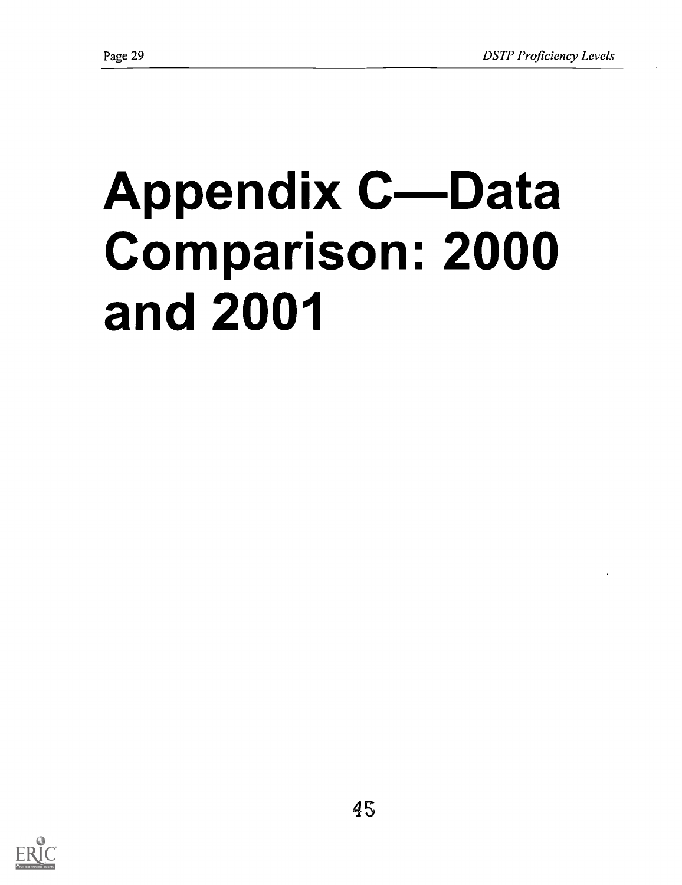# **Appendix C-Data** Comparison: 2000 and 2001

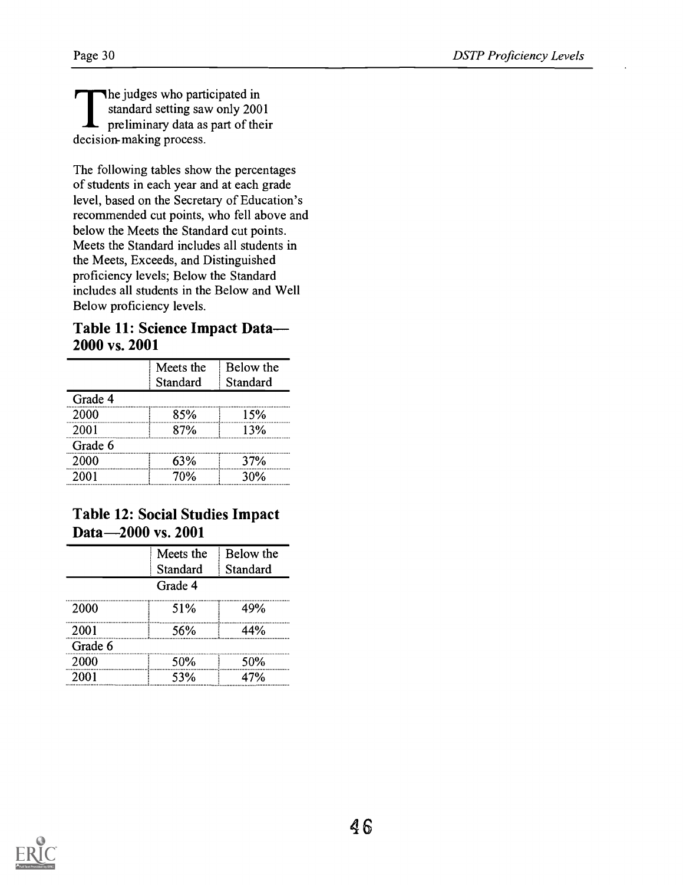The judges who participated in standard setting saw only 2001 preliminary data as part of their decision- making process.

The following tables show the percentages of students in each year and at each grade level, based on the Secretary of Education's recommended cut points, who fell above and below the Meets the Standard cut points. Meets the Standard includes all students in the Meets, Exceeds, and Distinguished proficiency levels; Below the Standard includes all students in the Below and Well Below proficiency levels.

## Table 11: Science Impact Data-2000 vs. 2001

|         | Meets the<br>Standard | Below the<br>Standard |
|---------|-----------------------|-----------------------|
| Grade 4 |                       |                       |
| 2000    | 85%                   | 15%                   |
| 2001    | 87%                   | 13%                   |
| Grade 6 |                       |                       |
| 2000    | 63%                   | 37%                   |
| 2001    | 70%                   | 30%                   |

# Table 12: Social Studies Impact Data-2000 vs. 2001

| Meets the | Below the |
|-----------|-----------|
| Standard  | Standard  |
| Grade 4   |           |
| 51%       | 49%       |
| 56%       | 44%       |
|           |           |
| 50%       | 50%       |
| 53%       | 47%       |
|           |           |

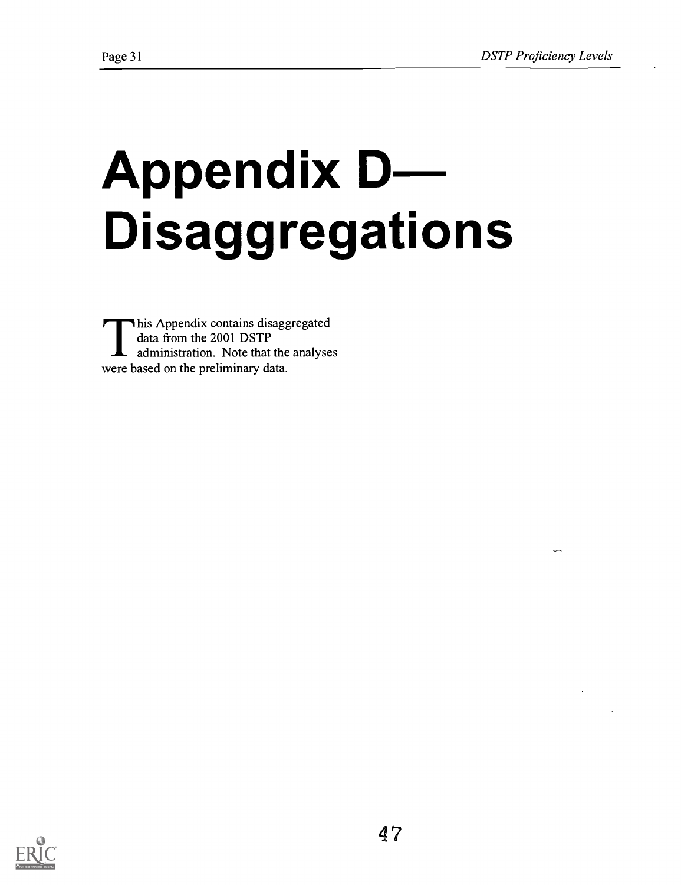# **Appendix D--**Disaggregations

This Appendix contains disaggregated data from the 2001 DSTP administration. Note that the analyses were based on the preliminary data.

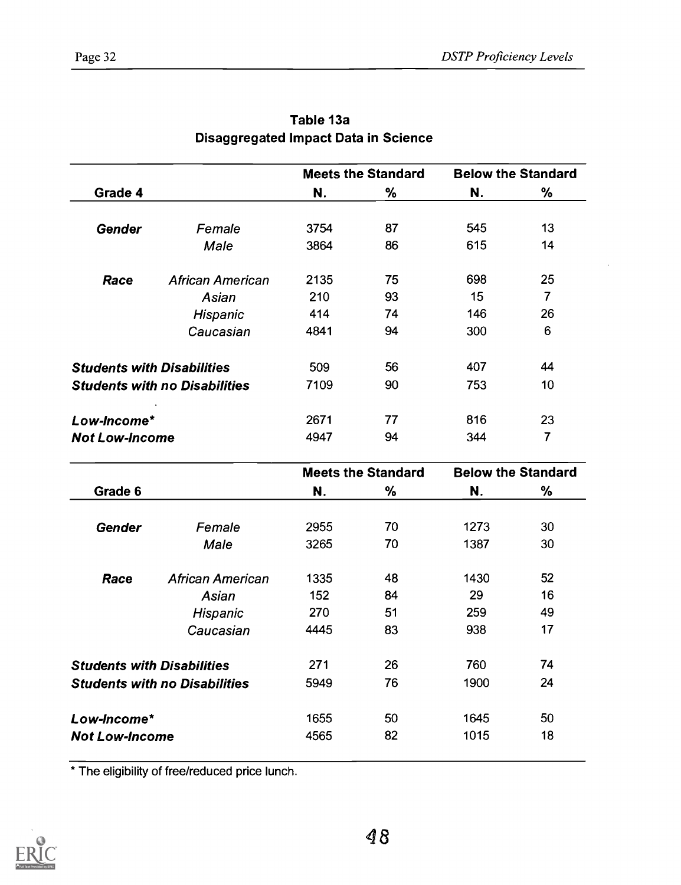|                                   |                                      |      | <b>Meets the Standard</b> |     | <b>Below the Standard</b> |
|-----------------------------------|--------------------------------------|------|---------------------------|-----|---------------------------|
| Grade 4                           |                                      | N.   | %                         | N.  | %                         |
| <b>Gender</b>                     | Female                               | 3754 | 87                        | 545 | 13                        |
|                                   | Male                                 | 3864 | 86                        | 615 | 14                        |
| Race                              | <b>African American</b>              | 2135 | 75                        | 698 | 25                        |
|                                   | Asian                                | 210  | 93                        | 15  | 7                         |
|                                   | Hispanic                             | 414  | 74                        | 146 | 26                        |
|                                   | Caucasian                            | 4841 | 94                        | 300 | 6                         |
| <b>Students with Disabilities</b> |                                      | 509  | 56                        | 407 | 44                        |
|                                   | <b>Students with no Disabilities</b> | 7109 | 90                        | 753 | 10                        |
| Low-Income*                       |                                      | 2671 | 77                        | 816 | 23                        |
| <b>Not Low-Income</b>             |                                      | 4947 | 94                        | 344 | 7                         |

| Table 13a                            |  |
|--------------------------------------|--|
| Disaggregated Impact Data in Science |  |

|                                   |                                      |      | <b>Meets the Standard</b> |      | <b>Below the Standard</b> |
|-----------------------------------|--------------------------------------|------|---------------------------|------|---------------------------|
| Grade 6                           |                                      | N.   | %                         | N.   | %                         |
| <b>Gender</b>                     | Female                               | 2955 | 70                        | 1273 | 30                        |
|                                   | Male                                 | 3265 | 70                        | 1387 | 30                        |
| Race                              | African American                     | 1335 | 48                        | 1430 | 52                        |
|                                   | Asian                                | 152  | 84                        | 29   | 16                        |
|                                   | Hispanic                             | 270  | 51                        | 259  | 49                        |
|                                   | Caucasian                            | 4445 | 83                        | 938  | 17                        |
| <b>Students with Disabilities</b> |                                      | 271  | 26                        | 760  | 74                        |
|                                   | <b>Students with no Disabilities</b> | 5949 | 76                        | 1900 | 24                        |
| Low-Income*                       |                                      | 1655 | 50                        | 1645 | 50                        |
| <b>Not Low-Income</b>             |                                      | 4565 | 82                        | 1015 | 18                        |

\* The eligibility of free/reduced price lunch.

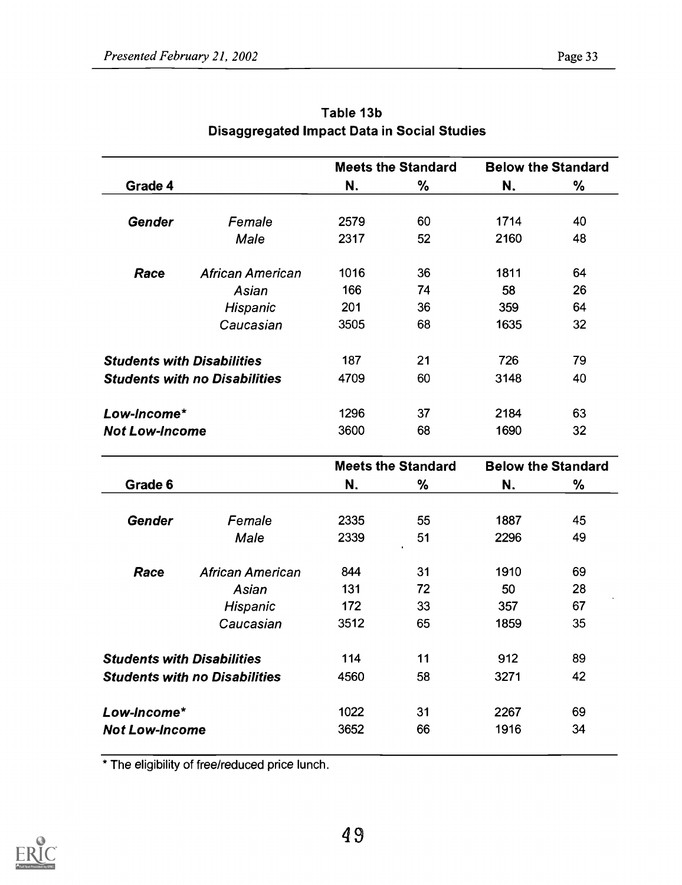|                       |                                      |      | <b>Meets the Standard</b> | <b>Below the Standard</b> |    |
|-----------------------|--------------------------------------|------|---------------------------|---------------------------|----|
| Grade 4               |                                      | N.   | %                         | N.                        | %  |
| <b>Gender</b>         | Female                               | 2579 | 60                        | 1714                      | 40 |
|                       | Male                                 | 2317 | 52                        | 2160                      | 48 |
| Race                  | <b>African American</b>              | 1016 | 36                        | 1811                      | 64 |
|                       | Asian                                | 166  | 74                        | 58                        | 26 |
|                       | Hispanic                             | 201  | 36                        | 359                       | 64 |
|                       | Caucasian                            | 3505 | 68                        | 1635                      | 32 |
|                       | <b>Students with Disabilities</b>    | 187  | 21                        | 726                       | 79 |
|                       | <b>Students with no Disabilities</b> | 4709 | 60                        | 3148                      | 40 |
| Low-Income*           |                                      | 1296 | 37                        | 2184                      | 63 |
| <b>Not Low-Income</b> |                                      | 3600 | 68                        | 1690                      | 32 |

| Table 13b                                   |  |
|---------------------------------------------|--|
| Disaggregated Impact Data in Social Studies |  |

| Grade 6<br>℅<br>N.<br>N.<br><b>Gender</b><br>Female<br>2335<br>55<br>1887<br>51<br>Male<br>2339<br>2296 | %<br>45<br>49 |
|---------------------------------------------------------------------------------------------------------|---------------|
|                                                                                                         |               |
|                                                                                                         |               |
|                                                                                                         |               |
|                                                                                                         |               |
| 1910<br>31<br>Race<br>African American<br>844                                                           | 69            |
| 72<br>131<br>50<br>Asian                                                                                | 28            |
| 172<br>33<br>Hispanic<br>357                                                                            | 67            |
| Caucasian<br>65<br>3512<br>1859                                                                         | 35            |
| <b>Students with Disabilities</b><br>11<br>114<br>912                                                   | 89            |
| 4560<br>58<br>3271<br><b>Students with no Disabilities</b>                                              | 42            |
| Low-Income*<br>1022<br>31<br>2267                                                                       | 69            |
| 1916<br>3652<br>66<br><b>Not Low-Income</b>                                                             | 34            |

\* The eligibility of free/reduced price lunch.

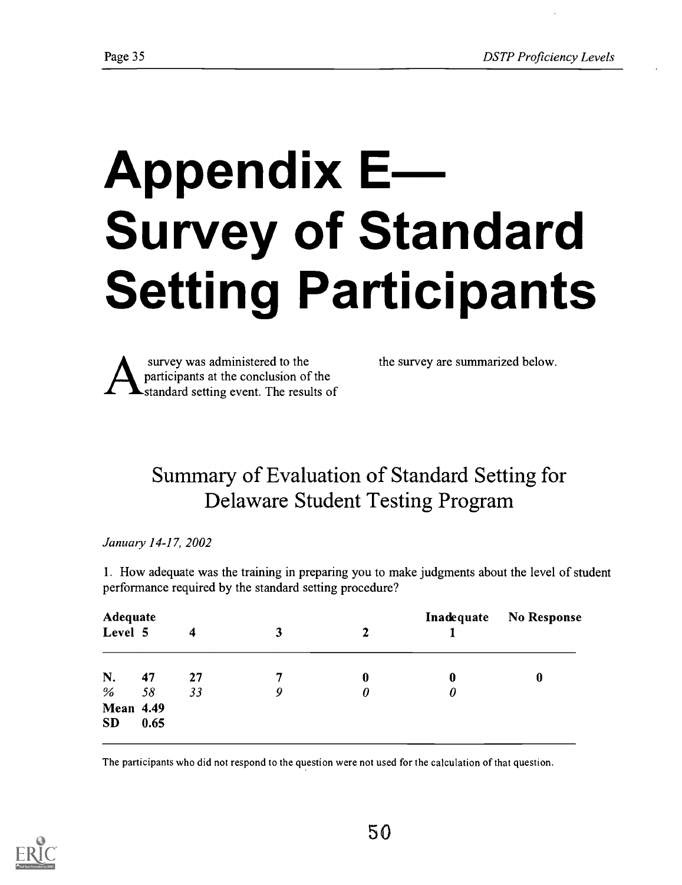# Appendix E Survey of Standard Setting Participants



the survey are summarized below.

# Summary of Evaluation of Standard Setting for Delaware Student Testing Program

January 14-17, 2002

1. How adequate was the training in preparing you to make judgments about the level of student performance required by the standard setting procedure?

| Adequate<br>Level 5    |      | 4  | 3 | $\mathbf{2}$ | Inadequate | <b>No Response</b> |
|------------------------|------|----|---|--------------|------------|--------------------|
| N.                     | 47   | 27 | 7 | 0            | $\bf{0}$   | 0                  |
| %                      | 58   | 33 | 9 | 0            | 0          |                    |
| <b>Mean 4.49</b><br>SD | 0.65 |    |   |              |            |                    |

The participants who did not respond to the question were not used for the calculation of that question.

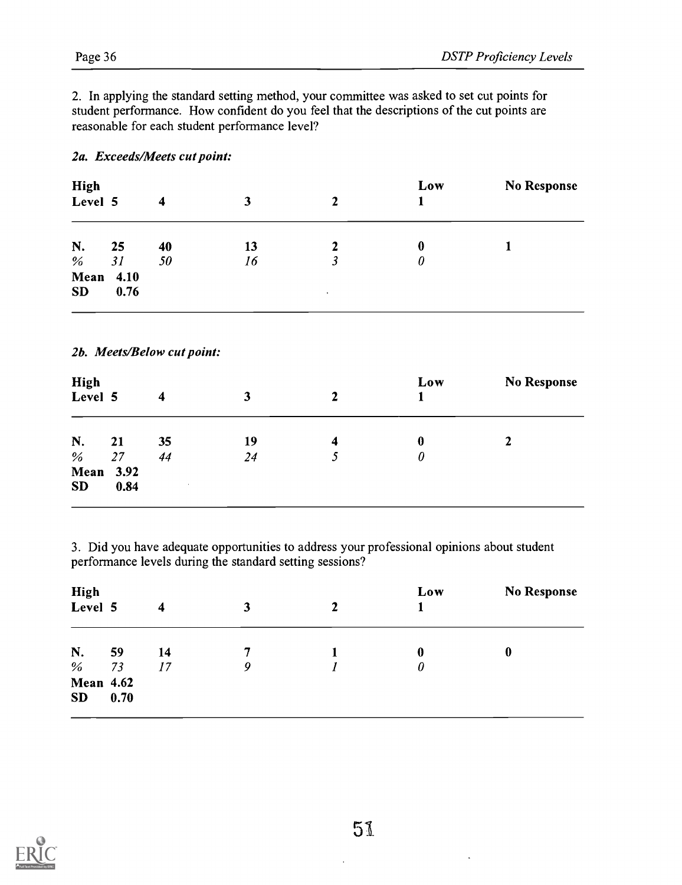2. In applying the standard setting method, your committee was asked to set cut points for student performance. How confident do you feel that the descriptions of the cut points are reasonable for each student performance level?

### 2a. Exceeds/Meets cut point:

| <b>High</b><br>Level 5        |      | 4  | 3  |           | Low | <b>No Response</b> |
|-------------------------------|------|----|----|-----------|-----|--------------------|
| N.                            | 25   | 40 | 13 |           | 0   |                    |
| %                             | 31   | 50 | 16 |           | 0   |                    |
| <b>Mean</b> 4.10<br><b>SD</b> | 0.76 |    |    | $\bullet$ |     |                    |

### 2b. Meets/Below cut point:

| High<br>Level 5  |      | 4      | 3  | $\mathbf{2}$ | Low      | <b>No Response</b> |
|------------------|------|--------|----|--------------|----------|--------------------|
| N.               | 21   | 35     | 19 | 4            | $\bf{0}$ |                    |
| $\%$             | 27   | 44     | 24 | C            | 0        |                    |
| <b>Mean</b> 3.92 |      |        |    |              |          |                    |
| <b>SD</b>        | 0.84 | $\sim$ |    |              |          |                    |

3. Did you have adequate opportunities to address your professional opinions about student performance levels during the standard setting sessions?

| Level 5          | 4  | 3  | 2 | Low      | <b>No Response</b> |
|------------------|----|----|---|----------|--------------------|
| 59               | 14 |    |   | $\bf{0}$ | 0                  |
| 73               |    | 9  |   | 0        |                    |
| <b>Mean 4.62</b> |    |    |   |          |                    |
| 0.70             |    |    |   |          |                    |
|                  |    | 17 |   |          |                    |

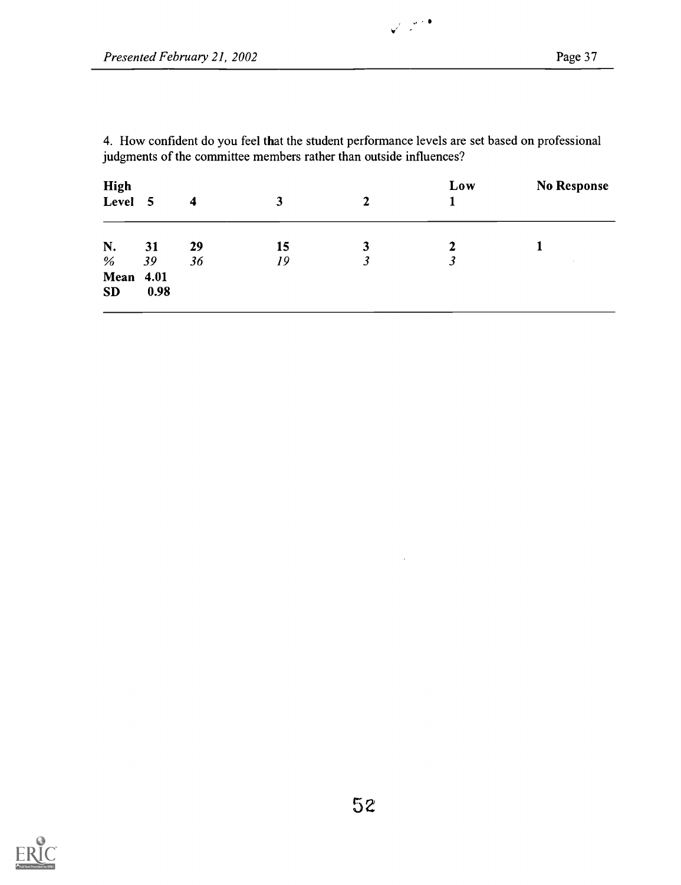4. How confident do you feel that the student performance levels are set based on professional judgments of the committee members rather than outside influences?

 $\frac{1}{\sqrt{2}}\left(\frac{1}{\sqrt{2}}\right)^{2}$ 

| <b>High</b><br>Level 5        |          | 4        | 3        | 2      | Low                 | <b>No Response</b> |
|-------------------------------|----------|----------|----------|--------|---------------------|--------------------|
| N.<br>$\%$                    | 31<br>39 | 29<br>36 | 15<br>19 | 3<br>3 | 2<br>$\mathfrak{Z}$ | $\sim$             |
| <b>Mean</b> 4.01<br><b>SD</b> | 0.98     |          |          |        |                     |                    |